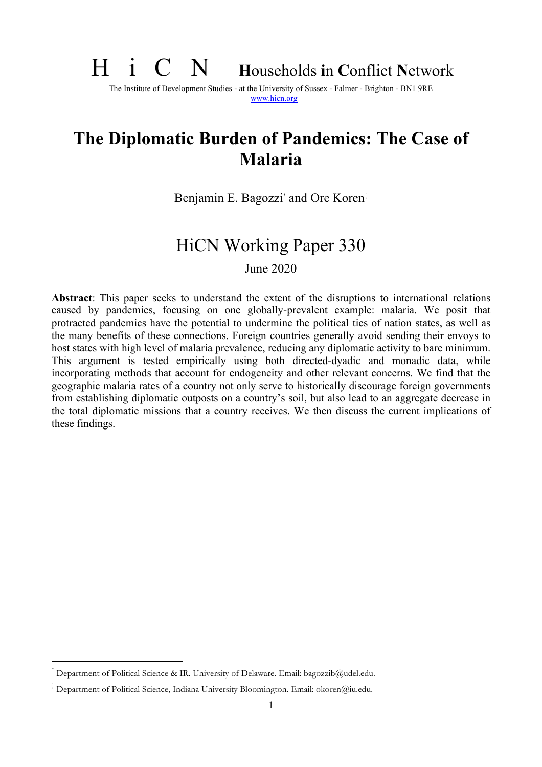# H i C N **<sup>H</sup>**ouseholds **i**n **C**onflict **<sup>N</sup>**etwork

The Institute of Development Studies - at the University of Sussex - Falmer - Brighton - BN1 9RE www.hicn.org

# **The Diplomatic Burden of Pandemics: The Case of Malaria**

Benjamin E. Bagozzi<sup>\*</sup> and Ore Koren<sup>†</sup>

# HiCN Working Paper 330

June 2020

**Abstract**: This paper seeks to understand the extent of the disruptions to international relations caused by pandemics, focusing on one globally-prevalent example: malaria. We posit that protracted pandemics have the potential to undermine the political ties of nation states, as well as the many benefits of these connections. Foreign countries generally avoid sending their envoys to host states with high level of malaria prevalence, reducing any diplomatic activity to bare minimum. This argument is tested empirically using both directed-dyadic and monadic data, while incorporating methods that account for endogeneity and other relevant concerns. We find that the geographic malaria rates of a country not only serve to historically discourage foreign governments from establishing diplomatic outposts on a country's soil, but also lead to an aggregate decrease in the total diplomatic missions that a country receives. We then discuss the current implications of these findings.

Department of Political Science & IR. University of Delaware. Email: bagozzib@udel.edu.

<sup>†</sup> Department of Political Science, Indiana University Bloomington. Email: okoren@iu.edu.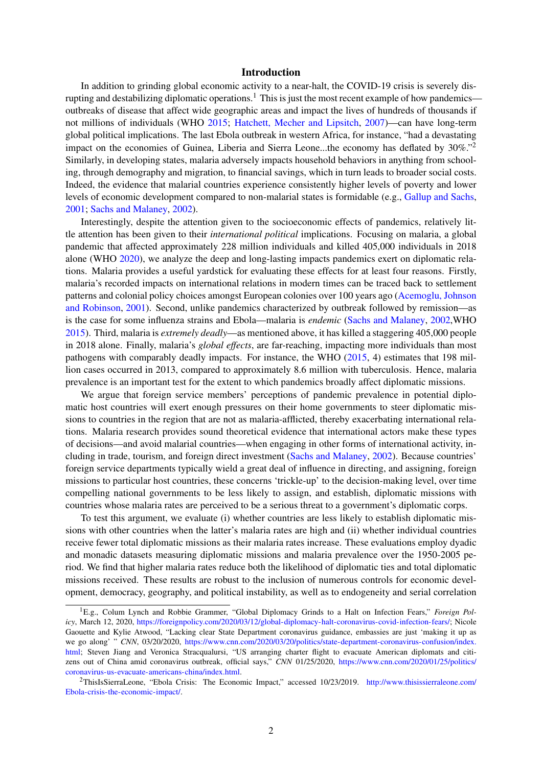# Introduction

In addition to grinding global economic activity to a near-halt, the COVID-19 crisis is severely disrupting and destabilizing diplomatic operations.<sup>1</sup> This is just the most recent example of how pandemics outbreaks of disease that affect wide geographic areas and impact the lives of hundreds of thousands if not millions of individuals (WHO 2015; Hatchett, Mecher and Lipsitch, 2007)—can have long-term global political implications. The last Ebola outbreak in western Africa, for instance, "had a devastating impact on the economies of Guinea, Liberia and Sierra Leone...the economy has deflated by  $30\%$ ." Similarly, in developing states, malaria adversely impacts household behaviors in anything from schooling, through demography and migration, to financial savings, which in turn leads to broader social costs. Indeed, the evidence that malarial countries experience consistently higher levels of poverty and lower levels of economic development compared to non-malarial states is formidable (e.g., Gallup and Sachs, 2001; Sachs and Malaney, 2002).

Interestingly, despite the attention given to the socioeconomic effects of pandemics, relatively little attention has been given to their *international political* implications. Focusing on malaria, a global pandemic that affected approximately 228 million individuals and killed 405,000 individuals in 2018 alone (WHO 2020), we analyze the deep and long-lasting impacts pandemics exert on diplomatic relations. Malaria provides a useful yardstick for evaluating these effects for at least four reasons. Firstly, malaria's recorded impacts on international relations in modern times can be traced back to settlement patterns and colonial policy choices amongst European colonies over 100 years ago (Acemoglu, Johnson and Robinson, 2001). Second, unlike pandemics characterized by outbreak followed by remission—as is the case for some influenza strains and Ebola—malaria is *endemic* (Sachs and Malaney, 2002,WHO 2015). Third, malaria is *extremely deadly*—as mentioned above, it has killed a staggering 405,000 people in 2018 alone. Finally, malaria's *global effects*, are far-reaching, impacting more individuals than most pathogens with comparably deadly impacts. For instance, the WHO (2015, 4) estimates that 198 million cases occurred in 2013, compared to approximately 8.6 million with tuberculosis. Hence, malaria prevalence is an important test for the extent to which pandemics broadly affect diplomatic missions.

We argue that foreign service members' perceptions of pandemic prevalence in potential diplomatic host countries will exert enough pressures on their home governments to steer diplomatic missions to countries in the region that are not as malaria-afflicted, thereby exacerbating international relations. Malaria research provides sound theoretical evidence that international actors make these types of decisions—and avoid malarial countries—when engaging in other forms of international activity, including in trade, tourism, and foreign direct investment (Sachs and Malaney, 2002). Because countries' foreign service departments typically wield a great deal of influence in directing, and assigning, foreign missions to particular host countries, these concerns 'trickle-up' to the decision-making level, over time compelling national governments to be less likely to assign, and establish, diplomatic missions with countries whose malaria rates are perceived to be a serious threat to a government's diplomatic corps.

To test this argument, we evaluate (i) whether countries are less likely to establish diplomatic missions with other countries when the latter's malaria rates are high and (ii) whether individual countries receive fewer total diplomatic missions as their malaria rates increase. These evaluations employ dyadic and monadic datasets measuring diplomatic missions and malaria prevalence over the 1950-2005 period. We find that higher malaria rates reduce both the likelihood of diplomatic ties and total diplomatic missions received. These results are robust to the inclusion of numerous controls for economic development, democracy, geography, and political instability, as well as to endogeneity and serial correlation

<sup>&</sup>lt;sup>1</sup>E.g., Colum Lynch and Robbie Grammer, "Global Diplomacy Grinds to a Halt on Infection Fears," *Foreign Policy*, March 12, 2020, https://foreignpolicy.com/2020/03/12/global-diplomacy-halt-coronavirus-covid-infection-fears/; Nicole Gaouette and Kylie Atwood, "Lacking clear State Department coronavirus guidance, embassies are just 'making it up as we go along' " *CNN*, 03/20/2020, https://www.cnn.com/2020/03/20/politics/state-department-coronavirus-confusion/index. html; Steven Jiang and Veronica Stracqualursi, "US arranging charter flight to evacuate American diplomats and citizens out of China amid coronavirus outbreak, official says," *CNN* 01/25/2020, https://www.cnn.com/2020/01/25/politics/ coronavirus-us-evacuate-americans-china/index.html.

<sup>2</sup>ThisIsSierraLeone, "Ebola Crisis: The Economic Impact," accessed 10/23/2019. http://www.thisissierraleone.com/ Ebola-crisis-the-economic-impact/.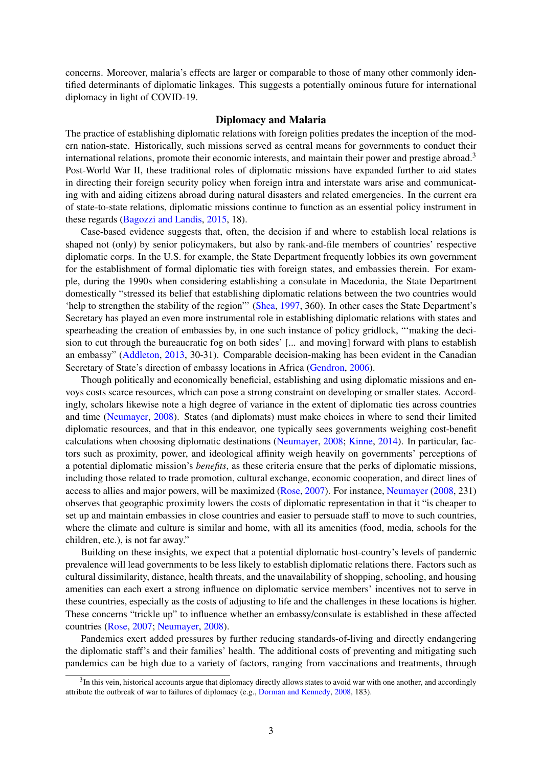concerns. Moreover, malaria's effects are larger or comparable to those of many other commonly identified determinants of diplomatic linkages. This suggests a potentially ominous future for international diplomacy in light of COVID-19.

#### Diplomacy and Malaria

The practice of establishing diplomatic relations with foreign polities predates the inception of the modern nation-state. Historically, such missions served as central means for governments to conduct their international relations, promote their economic interests, and maintain their power and prestige abroad.<sup>3</sup> Post-World War II, these traditional roles of diplomatic missions have expanded further to aid states in directing their foreign security policy when foreign intra and interstate wars arise and communicating with and aiding citizens abroad during natural disasters and related emergencies. In the current era of state-to-state relations, diplomatic missions continue to function as an essential policy instrument in these regards (Bagozzi and Landis, 2015, 18).

Case-based evidence suggests that, often, the decision if and where to establish local relations is shaped not (only) by senior policymakers, but also by rank-and-file members of countries' respective diplomatic corps. In the U.S. for example, the State Department frequently lobbies its own government for the establishment of formal diplomatic ties with foreign states, and embassies therein. For example, during the 1990s when considering establishing a consulate in Macedonia, the State Department domestically "stressed its belief that establishing diplomatic relations between the two countries would 'help to strengthen the stability of the region"' (Shea, 1997, 360). In other cases the State Department's Secretary has played an even more instrumental role in establishing diplomatic relations with states and spearheading the creation of embassies by, in one such instance of policy gridlock, "'making the decision to cut through the bureaucratic fog on both sides' [... and moving] forward with plans to establish an embassy" (Addleton, 2013, 30-31). Comparable decision-making has been evident in the Canadian Secretary of State's direction of embassy locations in Africa (Gendron, 2006).

Though politically and economically beneficial, establishing and using diplomatic missions and envoys costs scarce resources, which can pose a strong constraint on developing or smaller states. Accordingly, scholars likewise note a high degree of variance in the extent of diplomatic ties across countries and time (Neumayer, 2008). States (and diplomats) must make choices in where to send their limited diplomatic resources, and that in this endeavor, one typically sees governments weighing cost-benefit calculations when choosing diplomatic destinations (Neumayer, 2008; Kinne, 2014). In particular, factors such as proximity, power, and ideological affinity weigh heavily on governments' perceptions of a potential diplomatic mission's *benefits*, as these criteria ensure that the perks of diplomatic missions, including those related to trade promotion, cultural exchange, economic cooperation, and direct lines of access to allies and major powers, will be maximized (Rose, 2007). For instance, Neumayer (2008, 231) observes that geographic proximity lowers the costs of diplomatic representation in that it "is cheaper to set up and maintain embassies in close countries and easier to persuade staff to move to such countries, where the climate and culture is similar and home, with all its amenities (food, media, schools for the children, etc.), is not far away."

Building on these insights, we expect that a potential diplomatic host-country's levels of pandemic prevalence will lead governments to be less likely to establish diplomatic relations there. Factors such as cultural dissimilarity, distance, health threats, and the unavailability of shopping, schooling, and housing amenities can each exert a strong influence on diplomatic service members' incentives not to serve in these countries, especially as the costs of adjusting to life and the challenges in these locations is higher. These concerns "trickle up" to influence whether an embassy/consulate is established in these affected countries (Rose, 2007; Neumayer, 2008).

Pandemics exert added pressures by further reducing standards-of-living and directly endangering the diplomatic staff's and their families' health. The additional costs of preventing and mitigating such pandemics can be high due to a variety of factors, ranging from vaccinations and treatments, through

<sup>&</sup>lt;sup>3</sup>In this vein, historical accounts argue that diplomacy directly allows states to avoid war with one another, and accordingly attribute the outbreak of war to failures of diplomacy (e.g., Dorman and Kennedy, 2008, 183).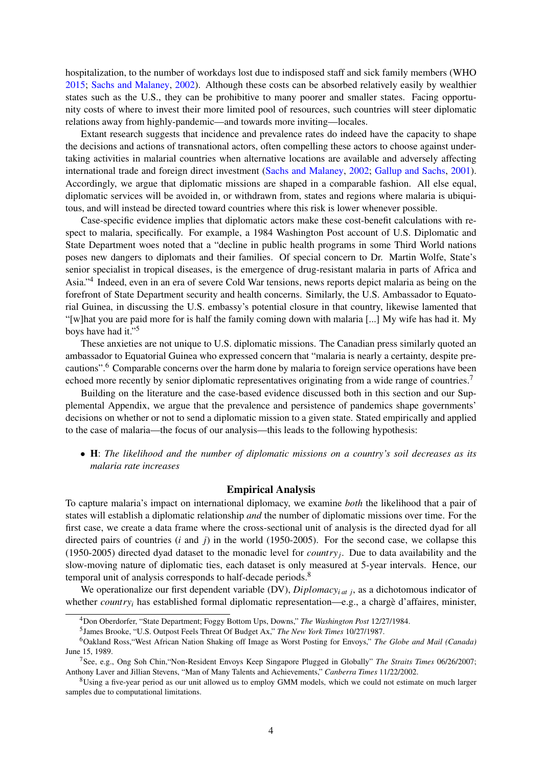hospitalization, to the number of workdays lost due to indisposed staff and sick family members (WHO 2015; Sachs and Malaney, 2002). Although these costs can be absorbed relatively easily by wealthier states such as the U.S., they can be prohibitive to many poorer and smaller states. Facing opportunity costs of where to invest their more limited pool of resources, such countries will steer diplomatic relations away from highly-pandemic—and towards more inviting—locales.

Extant research suggests that incidence and prevalence rates do indeed have the capacity to shape the decisions and actions of transnational actors, often compelling these actors to choose against undertaking activities in malarial countries when alternative locations are available and adversely affecting international trade and foreign direct investment (Sachs and Malaney, 2002; Gallup and Sachs, 2001). Accordingly, we argue that diplomatic missions are shaped in a comparable fashion. All else equal, diplomatic services will be avoided in, or withdrawn from, states and regions where malaria is ubiquitous, and will instead be directed toward countries where this risk is lower whenever possible.

Case-specific evidence implies that diplomatic actors make these cost-benefit calculations with respect to malaria, specifically. For example, a 1984 Washington Post account of U.S. Diplomatic and State Department woes noted that a "decline in public health programs in some Third World nations poses new dangers to diplomats and their families. Of special concern to Dr. Martin Wolfe, State's senior specialist in tropical diseases, is the emergence of drug-resistant malaria in parts of Africa and Asia."4 Indeed, even in an era of severe Cold War tensions, news reports depict malaria as being on the forefront of State Department security and health concerns. Similarly, the U.S. Ambassador to Equatorial Guinea, in discussing the U.S. embassy's potential closure in that country, likewise lamented that "[w]hat you are paid more for is half the family coming down with malaria [...] My wife has had it. My boys have had it."5

These anxieties are not unique to U.S. diplomatic missions. The Canadian press similarly quoted an ambassador to Equatorial Guinea who expressed concern that "malaria is nearly a certainty, despite precautions".6 Comparable concerns over the harm done by malaria to foreign service operations have been echoed more recently by senior diplomatic representatives originating from a wide range of countries.<sup>7</sup>

Building on the literature and the case-based evidence discussed both in this section and our Supplemental Appendix, we argue that the prevalence and persistence of pandemics shape governments' decisions on whether or not to send a diplomatic mission to a given state. Stated empirically and applied to the case of malaria—the focus of our analysis—this leads to the following hypothesis:

*•* H: *The likelihood and the number of diplomatic missions on a country's soil decreases as its malaria rate increases*

#### Empirical Analysis

To capture malaria's impact on international diplomacy, we examine *both* the likelihood that a pair of states will establish a diplomatic relationship *and* the number of diplomatic missions over time. For the first case, we create a data frame where the cross-sectional unit of analysis is the directed dyad for all directed pairs of countries (*i* and *j*) in the world (1950-2005). For the second case, we collapse this (1950-2005) directed dyad dataset to the monadic level for *countryj*. Due to data availability and the slow-moving nature of diplomatic ties, each dataset is only measured at 5-year intervals. Hence, our temporal unit of analysis corresponds to half-decade periods.<sup>8</sup>

We operationalize our first dependent variable (DV), *Diplomacy<sub>i at j</sub>*, as a dichotomous indicator of whether *countryi* has established formal diplomatic representation—e.g., a chargè d'affaires, minister,

<sup>4</sup>Don Oberdorfer, "State Department; Foggy Bottom Ups, Downs," *The Washington Post* 12/27/1984.

<sup>5</sup>James Brooke, "U.S. Outpost Feels Threat Of Budget Ax," *The New York Times* 10/27/1987.

<sup>6</sup>Oakland Ross,"West African Nation Shaking off Image as Worst Posting for Envoys," *The Globe and Mail (Canada)* June 15, 1989.

<sup>7</sup>See, e.g., Ong Soh Chin,"Non-Resident Envoys Keep Singapore Plugged in Globally" *The Straits Times* 06/26/2007; Anthony Laver and Jillian Stevens, "Man of Many Talents and Achievements," *Canberra Times* 11/22/2002.

<sup>&</sup>lt;sup>8</sup>Using a five-year period as our unit allowed us to employ GMM models, which we could not estimate on much larger samples due to computational limitations.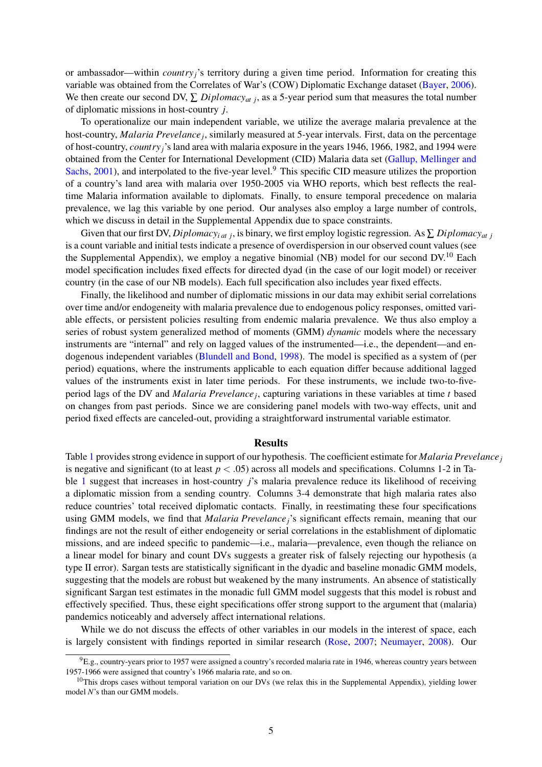or ambassador—within *countryj*'s territory during a given time period. Information for creating this variable was obtained from the Correlates of War's (COW) Diplomatic Exchange dataset (Bayer, 2006). We then create our second DV,  $\sum$  *Diplomacy<sub>at j</sub>*, as a 5-year period sum that measures the total number of diplomatic missions in host-country *j*.

To operationalize our main independent variable, we utilize the average malaria prevalence at the host-country, *Malaria Prevelancej*, similarly measured at 5-year intervals. First, data on the percentage of host-country, *countryj*'s land area with malaria exposure in the years 1946, 1966, 1982, and 1994 were obtained from the Center for International Development (CID) Malaria data set (Gallup, Mellinger and Sachs, 2001), and interpolated to the five-year level.<sup>9</sup> This specific CID measure utilizes the proportion of a country's land area with malaria over 1950-2005 via WHO reports, which best reflects the realtime Malaria information available to diplomats. Finally, to ensure temporal precedence on malaria prevalence, we lag this variable by one period. Our analyses also employ a large number of controls, which we discuss in detail in the Supplemental Appendix due to space constraints.

Given that our first DV, *Diplomacy<sub>i at j*</sub>, is binary, we first employ logistic regression. As  $\sum$  *Diplomacy<sub>at j</sub>* is a count variable and initial tests indicate a presence of overdispersion in our observed count values (see the Supplemental Appendix), we employ a negative binomial (NB) model for our second DV.<sup>10</sup> Each model specification includes fixed effects for directed dyad (in the case of our logit model) or receiver country (in the case of our NB models). Each full specification also includes year fixed effects.

Finally, the likelihood and number of diplomatic missions in our data may exhibit serial correlations over time and/or endogeneity with malaria prevalence due to endogenous policy responses, omitted variable effects, or persistent policies resulting from endemic malaria prevalence. We thus also employ a series of robust system generalized method of moments (GMM) *dynamic* models where the necessary instruments are "internal" and rely on lagged values of the instrumented—i.e., the dependent—and endogenous independent variables (Blundell and Bond, 1998). The model is specified as a system of (per period) equations, where the instruments applicable to each equation differ because additional lagged values of the instruments exist in later time periods. For these instruments, we include two-to-fiveperiod lags of the DV and *Malaria Prevelancej*, capturing variations in these variables at time *t* based on changes from past periods. Since we are considering panel models with two-way effects, unit and period fixed effects are canceled-out, providing a straightforward instrumental variable estimator.

#### Results

Table 1 provides strong evidence in support of our hypothesis. The coefficient estimate for *Malaria Prevelancej* is negative and significant (to at least *p < .*05) across all models and specifications. Columns 1-2 in Table 1 suggest that increases in host-country *j*'s malaria prevalence reduce its likelihood of receiving a diplomatic mission from a sending country. Columns 3-4 demonstrate that high malaria rates also reduce countries' total received diplomatic contacts. Finally, in reestimating these four specifications using GMM models, we find that *Malaria Prevelancej*'s significant effects remain, meaning that our findings are not the result of either endogeneity or serial correlations in the establishment of diplomatic missions, and are indeed specific to pandemic—i.e., malaria—prevalence, even though the reliance on a linear model for binary and count DVs suggests a greater risk of falsely rejecting our hypothesis (a type II error). Sargan tests are statistically significant in the dyadic and baseline monadic GMM models, suggesting that the models are robust but weakened by the many instruments. An absence of statistically significant Sargan test estimates in the monadic full GMM model suggests that this model is robust and effectively specified. Thus, these eight specifications offer strong support to the argument that (malaria) pandemics noticeably and adversely affect international relations.

While we do not discuss the effects of other variables in our models in the interest of space, each is largely consistent with findings reported in similar research (Rose, 2007; Neumayer, 2008). Our

 ${}^{9}E.g.,$  country-years prior to 1957 were assigned a country's recorded malaria rate in 1946, whereas country years between 1957-1966 were assigned that country's 1966 malaria rate, and so on.

 $10$ This drops cases without temporal variation on our DVs (we relax this in the Supplemental Appendix), yielding lower model *N*'s than our GMM models.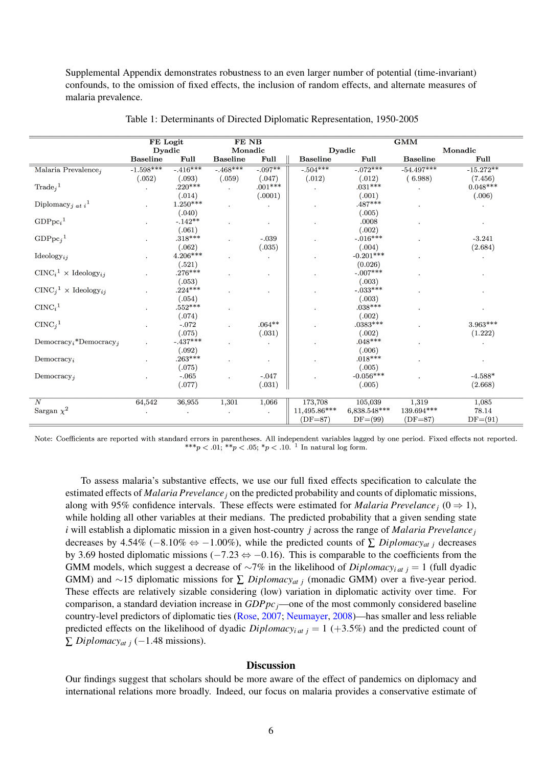Supplemental Appendix demonstrates robustness to an even larger number of potential (time-invariant) confounds, to the omission of fixed effects, the inclusion of random effects, and alternate measures of malaria prevalence.

|                                                | FE Logit        |                     | FE NB           |            |                 |                     | GMM             |             |
|------------------------------------------------|-----------------|---------------------|-----------------|------------|-----------------|---------------------|-----------------|-------------|
|                                                | Dyadic          |                     | Monadic         |            |                 | Dyadic              |                 | Monadic     |
|                                                | <b>Baseline</b> | Full                | <b>Baseline</b> | Full       | <b>Baseline</b> | Full                | <b>Baseline</b> | Full        |
| Malaria Prevalence,                            | $-1.598***$     | $-0.416***$         | $-468***$       | $-0.097**$ | $-.504***$      | $-0.072***$         | $-54.497***$    | $-15.272**$ |
|                                                | (.052)          | (.093)              | (.059)          | (.047)     | (.012)          | (.012)              | (6.988)         | (7.456)     |
| $\text{Trade}_i^1$                             |                 | $.220***$           |                 | $.001***$  |                 | $.031***$           |                 | $0.048***$  |
|                                                |                 | (.014)              |                 | (.0001)    |                 | (.001)              |                 | (.006)      |
| Diplomacy <sub>j at i</sub> <sup>1</sup>       |                 | $1.250***$          |                 |            |                 | .487***             |                 |             |
|                                                |                 | (.040)              |                 |            |                 | (.005)              |                 |             |
| GDPpc <sub>i</sub> <sup>1</sup>                |                 | $-.142**$           |                 |            |                 | .0008               |                 |             |
|                                                |                 | (.061)              |                 |            |                 | (.002)              |                 |             |
| GDPpc <sub>j</sub> <sup>1</sup>                |                 | $.318***$           |                 | $-.039$    |                 | $-.016***$          |                 | $-3.241$    |
|                                                |                 | (.062)              |                 | (.035)     |                 | (.004)              |                 | (2.684)     |
| $\text{Ideology}_{ij}$                         |                 | $4.206***$          |                 |            |                 | $-0.201***$         |                 |             |
|                                                |                 | (.521)              |                 |            |                 | (0.026)             |                 |             |
| $CINC_i^1 \times \text{Ideology}_{ij}$         |                 | $.276***$           |                 |            |                 | $-.007***$          |                 |             |
|                                                |                 | (.053)              |                 |            |                 | (.003)              |                 |             |
| $CINC_j^1 \times \text{Ideology}_{ij}$         |                 | $.224***$           |                 |            |                 | $-.033***$          |                 |             |
| $CINC_i^1$                                     |                 | (.054)<br>$.552***$ |                 |            |                 | (.003)<br>$.038***$ |                 |             |
|                                                |                 | (.074)              |                 |            |                 | (.002)              |                 |             |
| $CINC_j^1$                                     |                 | $-.072$             |                 | $.064**$   |                 | $.0383***$          |                 | $3.963***$  |
|                                                |                 | (.075)              |                 | (.031)     |                 | (.002)              |                 | (1.222)     |
| Democracy <sub>i</sub> *Democracy <sub>i</sub> |                 | $-.437***$          |                 |            |                 | $.048***$           |                 |             |
|                                                |                 | (.092)              |                 |            |                 | (.006)              |                 |             |
| Democracy <sub>i</sub>                         |                 | $.263***$           |                 |            |                 | $.018***$           |                 |             |
|                                                |                 | (.075)              |                 |            |                 | (.005)              |                 |             |
| Democracy <sub>i</sub>                         |                 | $-.065$             |                 | $-.047$    |                 | $-0.056***$         |                 | $-4.588*$   |
|                                                |                 | (.077)              |                 | (.031)     |                 | (.005)              |                 | (2.668)     |
|                                                |                 |                     |                 |            |                 |                     |                 |             |
| $\boldsymbol{N}$                               | 64,542          | 36,955              | 1,301           | 1,066      | 173,708         | 105,039             | 1,319           | 1,085       |
| Sargan $\chi^2$                                |                 |                     |                 |            | 11,495.86***    | 6,838.548***        | 139.694***      | 78.14       |
|                                                |                 |                     |                 |            | $(DF=87)$       | $DF=(99)$           | $(DF=87)$       | $DF=(91)$   |

Note: Coefficients are reported with standard errors in parentheses. All independent variables lagged by one period. Fixed effects not reported. \*\*\*p < .01; \*\*p < .05; \*p < .10. <sup>1</sup> In natural log form.

To assess malaria's substantive effects, we use our full fixed effects specification to calculate the estimated effects of *Malaria Prevelancej* on the predicted probability and counts of diplomatic missions, along with 95% confidence intervals. These effects were estimated for *Malaria Prevelance*<sub>*i*</sub> ( $0 \Rightarrow 1$ ), while holding all other variables at their medians. The predicted probability that a given sending state *i* will establish a diplomatic mission in a given host-country *j* across the range of *Malaria Prevelancej* decreases by 4.54% ( $-8.10\% \Leftrightarrow -1.00\%$ ), while the predicted counts of  $\sum$  *Diplomacy<sub>at j</sub>* decreases by 3.69 hosted diplomatic missions ( $-7.23 \Leftrightarrow -0.16$ ). This is comparable to the coefficients from the GMM models, which suggest a decrease of  $\sim$ 7% in the likelihood of *Diplomacy<sub>i at j</sub>* = 1 (full dyadic GMM) and  $\sim$ 15 diplomatic missions for  $\sum$  *Diplomacy<sub>at j</sub>* (monadic GMM) over a five-year period. These effects are relatively sizable considering (low) variation in diplomatic activity over time. For comparison, a standard deviation increase in *GDPpcj*—one of the most commonly considered baseline country-level predictors of diplomatic ties (Rose, 2007; Neumayer, 2008)—has smaller and less reliable predicted effects on the likelihood of dyadic  $Diplomacy<sub>i at j</sub> = 1 (+3.5%)$  and the predicted count of  $\sum$  *Diplomacy<sub>at i</sub>* (-1.48 missions).

# **Discussion**

Our findings suggest that scholars should be more aware of the effect of pandemics on diplomacy and international relations more broadly. Indeed, our focus on malaria provides a conservative estimate of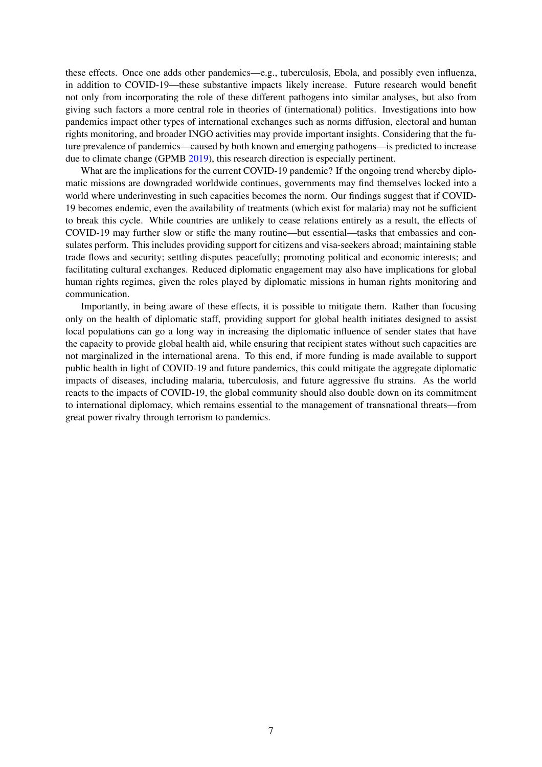these effects. Once one adds other pandemics—e.g., tuberculosis, Ebola, and possibly even influenza, in addition to COVID-19—these substantive impacts likely increase. Future research would benefit not only from incorporating the role of these different pathogens into similar analyses, but also from giving such factors a more central role in theories of (international) politics. Investigations into how pandemics impact other types of international exchanges such as norms diffusion, electoral and human rights monitoring, and broader INGO activities may provide important insights. Considering that the future prevalence of pandemics—caused by both known and emerging pathogens—is predicted to increase due to climate change (GPMB 2019), this research direction is especially pertinent.

What are the implications for the current COVID-19 pandemic? If the ongoing trend whereby diplomatic missions are downgraded worldwide continues, governments may find themselves locked into a world where underinvesting in such capacities becomes the norm. Our findings suggest that if COVID-19 becomes endemic, even the availability of treatments (which exist for malaria) may not be sufficient to break this cycle. While countries are unlikely to cease relations entirely as a result, the effects of COVID-19 may further slow or stifle the many routine—but essential—tasks that embassies and consulates perform. This includes providing support for citizens and visa-seekers abroad; maintaining stable trade flows and security; settling disputes peacefully; promoting political and economic interests; and facilitating cultural exchanges. Reduced diplomatic engagement may also have implications for global human rights regimes, given the roles played by diplomatic missions in human rights monitoring and communication.

Importantly, in being aware of these effects, it is possible to mitigate them. Rather than focusing only on the health of diplomatic staff, providing support for global health initiates designed to assist local populations can go a long way in increasing the diplomatic influence of sender states that have the capacity to provide global health aid, while ensuring that recipient states without such capacities are not marginalized in the international arena. To this end, if more funding is made available to support public health in light of COVID-19 and future pandemics, this could mitigate the aggregate diplomatic impacts of diseases, including malaria, tuberculosis, and future aggressive flu strains. As the world reacts to the impacts of COVID-19, the global community should also double down on its commitment to international diplomacy, which remains essential to the management of transnational threats—from great power rivalry through terrorism to pandemics.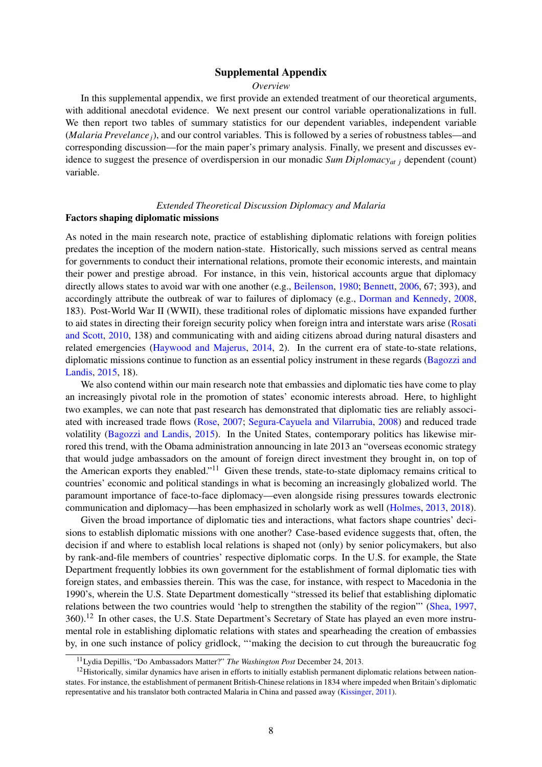### Supplemental Appendix

#### *Overview*

In this supplemental appendix, we first provide an extended treatment of our theoretical arguments, with additional anecdotal evidence. We next present our control variable operationalizations in full. We then report two tables of summary statistics for our dependent variables, independent variable (*Malaria Prevelancej*), and our control variables. This is followed by a series of robustness tables—and corresponding discussion—for the main paper's primary analysis. Finally, we present and discusses evidence to suggest the presence of overdispersion in our monadic *Sum Diplomacyat j* dependent (count) variable.

### *Extended Theoretical Discussion Diplomacy and Malaria*

#### Factors shaping diplomatic missions

As noted in the main research note, practice of establishing diplomatic relations with foreign polities predates the inception of the modern nation-state. Historically, such missions served as central means for governments to conduct their international relations, promote their economic interests, and maintain their power and prestige abroad. For instance, in this vein, historical accounts argue that diplomacy directly allows states to avoid war with one another (e.g., Beilenson, 1980; Bennett, 2006, 67; 393), and accordingly attribute the outbreak of war to failures of diplomacy (e.g., Dorman and Kennedy, 2008, 183). Post-World War II (WWII), these traditional roles of diplomatic missions have expanded further to aid states in directing their foreign security policy when foreign intra and interstate wars arise (Rosati and Scott, 2010, 138) and communicating with and aiding citizens abroad during natural disasters and related emergencies (Haywood and Majerus, 2014, 2). In the current era of state-to-state relations, diplomatic missions continue to function as an essential policy instrument in these regards (Bagozzi and Landis, 2015, 18).

We also contend within our main research note that embassies and diplomatic ties have come to play an increasingly pivotal role in the promotion of states' economic interests abroad. Here, to highlight two examples, we can note that past research has demonstrated that diplomatic ties are reliably associated with increased trade flows (Rose, 2007; Segura-Cayuela and Vilarrubia, 2008) and reduced trade volatility (Bagozzi and Landis, 2015). In the United States, contemporary politics has likewise mirrored this trend, with the Obama administration announcing in late 2013 an "overseas economic strategy that would judge ambassadors on the amount of foreign direct investment they brought in, on top of the American exports they enabled."<sup>11</sup> Given these trends, state-to-state diplomacy remains critical to countries' economic and political standings in what is becoming an increasingly globalized world. The paramount importance of face-to-face diplomacy—even alongside rising pressures towards electronic communication and diplomacy—has been emphasized in scholarly work as well (Holmes, 2013, 2018).

Given the broad importance of diplomatic ties and interactions, what factors shape countries' decisions to establish diplomatic missions with one another? Case-based evidence suggests that, often, the decision if and where to establish local relations is shaped not (only) by senior policymakers, but also by rank-and-file members of countries' respective diplomatic corps. In the U.S. for example, the State Department frequently lobbies its own government for the establishment of formal diplomatic ties with foreign states, and embassies therein. This was the case, for instance, with respect to Macedonia in the 1990's, wherein the U.S. State Department domestically "stressed its belief that establishing diplomatic relations between the two countries would 'help to strengthen the stability of the region"' (Shea, 1997, 360).<sup>12</sup> In other cases, the U.S. State Department's Secretary of State has played an even more instrumental role in establishing diplomatic relations with states and spearheading the creation of embassies by, in one such instance of policy gridlock, "'making the decision to cut through the bureaucratic fog

<sup>11</sup>Lydia Depillis, "Do Ambassadors Matter?" *The Washington Post* December 24, 2013.

 $12$ Historically, similar dynamics have arisen in efforts to initially establish permanent diplomatic relations between nationstates. For instance, the establishment of permanent British-Chinese relations in 1834 where impeded when Britain's diplomatic representative and his translator both contracted Malaria in China and passed away (Kissinger, 2011).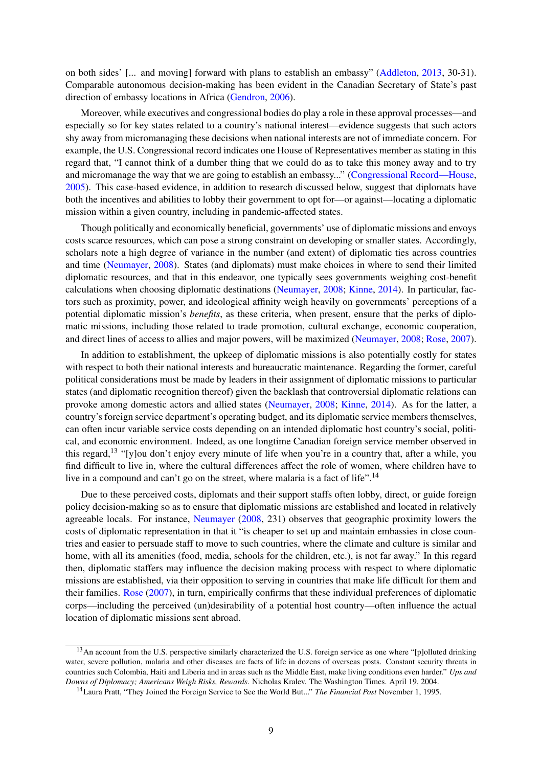on both sides' [... and moving] forward with plans to establish an embassy" (Addleton, 2013, 30-31). Comparable autonomous decision-making has been evident in the Canadian Secretary of State's past direction of embassy locations in Africa (Gendron, 2006).

Moreover, while executives and congressional bodies do play a role in these approval processes—and especially so for key states related to a country's national interest—evidence suggests that such actors shy away from micromanaging these decisions when national interests are not of immediate concern. For example, the U.S. Congressional record indicates one House of Representatives member as stating in this regard that, "I cannot think of a dumber thing that we could do as to take this money away and to try and micromanage the way that we are going to establish an embassy..." (Congressional Record—House, 2005). This case-based evidence, in addition to research discussed below, suggest that diplomats have both the incentives and abilities to lobby their government to opt for—or against—locating a diplomatic mission within a given country, including in pandemic-affected states.

Though politically and economically beneficial, governments' use of diplomatic missions and envoys costs scarce resources, which can pose a strong constraint on developing or smaller states. Accordingly, scholars note a high degree of variance in the number (and extent) of diplomatic ties across countries and time (Neumayer, 2008). States (and diplomats) must make choices in where to send their limited diplomatic resources, and that in this endeavor, one typically sees governments weighing cost-benefit calculations when choosing diplomatic destinations (Neumayer, 2008; Kinne, 2014). In particular, factors such as proximity, power, and ideological affinity weigh heavily on governments' perceptions of a potential diplomatic mission's *benefits*, as these criteria, when present, ensure that the perks of diplomatic missions, including those related to trade promotion, cultural exchange, economic cooperation, and direct lines of access to allies and major powers, will be maximized (Neumayer, 2008; Rose, 2007).

In addition to establishment, the upkeep of diplomatic missions is also potentially costly for states with respect to both their national interests and bureaucratic maintenance. Regarding the former, careful political considerations must be made by leaders in their assignment of diplomatic missions to particular states (and diplomatic recognition thereof) given the backlash that controversial diplomatic relations can provoke among domestic actors and allied states (Neumayer, 2008; Kinne, 2014). As for the latter, a country's foreign service department's operating budget, and its diplomatic service members themselves, can often incur variable service costs depending on an intended diplomatic host country's social, political, and economic environment. Indeed, as one longtime Canadian foreign service member observed in this regard,<sup>13</sup> "[y]ou don't enjoy every minute of life when you're in a country that, after a while, you find difficult to live in, where the cultural differences affect the role of women, where children have to live in a compound and can't go on the street, where malaria is a fact of life".<sup>14</sup>

Due to these perceived costs, diplomats and their support staffs often lobby, direct, or guide foreign policy decision-making so as to ensure that diplomatic missions are established and located in relatively agreeable locals. For instance, Neumayer (2008, 231) observes that geographic proximity lowers the costs of diplomatic representation in that it "is cheaper to set up and maintain embassies in close countries and easier to persuade staff to move to such countries, where the climate and culture is similar and home, with all its amenities (food, media, schools for the children, etc.), is not far away." In this regard then, diplomatic staffers may influence the decision making process with respect to where diplomatic missions are established, via their opposition to serving in countries that make life difficult for them and their families. Rose (2007), in turn, empirically confirms that these individual preferences of diplomatic corps—including the perceived (un)desirability of a potential host country—often influence the actual location of diplomatic missions sent abroad.

<sup>&</sup>lt;sup>13</sup>An account from the U.S. perspective similarly characterized the U.S. foreign service as one where "[p]olluted drinking water, severe pollution, malaria and other diseases are facts of life in dozens of overseas posts. Constant security threats in countries such Colombia, Haiti and Liberia and in areas such as the Middle East, make living conditions even harder." *Ups and Downs of Diplomacy; Americans Weigh Risks, Rewards*. Nicholas Kralev. The Washington Times. April 19, 2004.

<sup>14</sup>Laura Pratt, "They Joined the Foreign Service to See the World But..." *The Financial Post* November 1, 1995.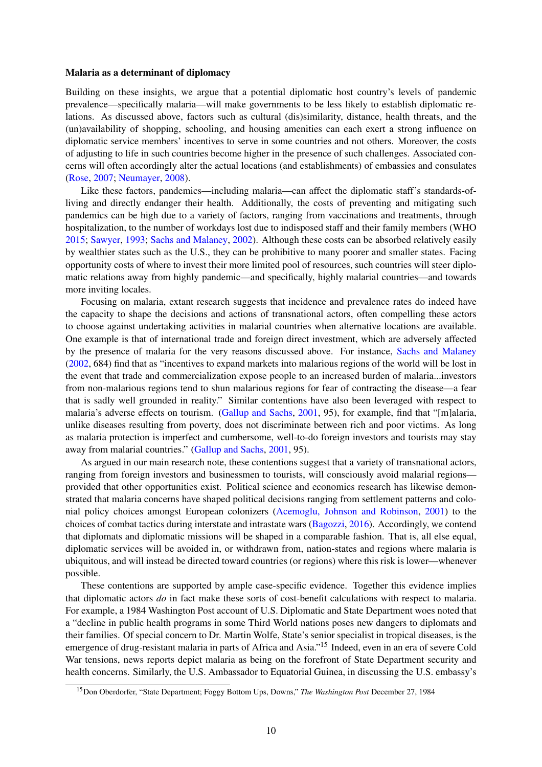#### Malaria as a determinant of diplomacy

Building on these insights, we argue that a potential diplomatic host country's levels of pandemic prevalence—specifically malaria—will make governments to be less likely to establish diplomatic relations. As discussed above, factors such as cultural (dis)similarity, distance, health threats, and the (un)availability of shopping, schooling, and housing amenities can each exert a strong influence on diplomatic service members' incentives to serve in some countries and not others. Moreover, the costs of adjusting to life in such countries become higher in the presence of such challenges. Associated concerns will often accordingly alter the actual locations (and establishments) of embassies and consulates (Rose, 2007; Neumayer, 2008).

Like these factors, pandemics—including malaria—can affect the diplomatic staff's standards-ofliving and directly endanger their health. Additionally, the costs of preventing and mitigating such pandemics can be high due to a variety of factors, ranging from vaccinations and treatments, through hospitalization, to the number of workdays lost due to indisposed staff and their family members (WHO 2015; Sawyer, 1993; Sachs and Malaney, 2002). Although these costs can be absorbed relatively easily by wealthier states such as the U.S., they can be prohibitive to many poorer and smaller states. Facing opportunity costs of where to invest their more limited pool of resources, such countries will steer diplomatic relations away from highly pandemic—and specifically, highly malarial countries—and towards more inviting locales.

Focusing on malaria, extant research suggests that incidence and prevalence rates do indeed have the capacity to shape the decisions and actions of transnational actors, often compelling these actors to choose against undertaking activities in malarial countries when alternative locations are available. One example is that of international trade and foreign direct investment, which are adversely affected by the presence of malaria for the very reasons discussed above. For instance, Sachs and Malaney (2002, 684) find that as "incentives to expand markets into malarious regions of the world will be lost in the event that trade and commercialization expose people to an increased burden of malaria...investors from non-malarious regions tend to shun malarious regions for fear of contracting the disease—a fear that is sadly well grounded in reality." Similar contentions have also been leveraged with respect to malaria's adverse effects on tourism. (Gallup and Sachs, 2001, 95), for example, find that "[m]alaria, unlike diseases resulting from poverty, does not discriminate between rich and poor victims. As long as malaria protection is imperfect and cumbersome, well-to-do foreign investors and tourists may stay away from malarial countries." (Gallup and Sachs, 2001, 95).

As argued in our main research note, these contentions suggest that a variety of transnational actors, ranging from foreign investors and businessmen to tourists, will consciously avoid malarial regions provided that other opportunities exist. Political science and economics research has likewise demonstrated that malaria concerns have shaped political decisions ranging from settlement patterns and colonial policy choices amongst European colonizers (Acemoglu, Johnson and Robinson, 2001) to the choices of combat tactics during interstate and intrastate wars (Bagozzi, 2016). Accordingly, we contend that diplomats and diplomatic missions will be shaped in a comparable fashion. That is, all else equal, diplomatic services will be avoided in, or withdrawn from, nation-states and regions where malaria is ubiquitous, and will instead be directed toward countries (or regions) where this risk is lower—whenever possible.

These contentions are supported by ample case-specific evidence. Together this evidence implies that diplomatic actors *do* in fact make these sorts of cost-benefit calculations with respect to malaria. For example, a 1984 Washington Post account of U.S. Diplomatic and State Department woes noted that a "decline in public health programs in some Third World nations poses new dangers to diplomats and their families. Of special concern to Dr. Martin Wolfe, State's senior specialist in tropical diseases, is the emergence of drug-resistant malaria in parts of Africa and Asia."<sup>15</sup> Indeed, even in an era of severe Cold War tensions, news reports depict malaria as being on the forefront of State Department security and health concerns. Similarly, the U.S. Ambassador to Equatorial Guinea, in discussing the U.S. embassy's

<sup>15</sup>Don Oberdorfer, "State Department; Foggy Bottom Ups, Downs," *The Washington Post* December 27, 1984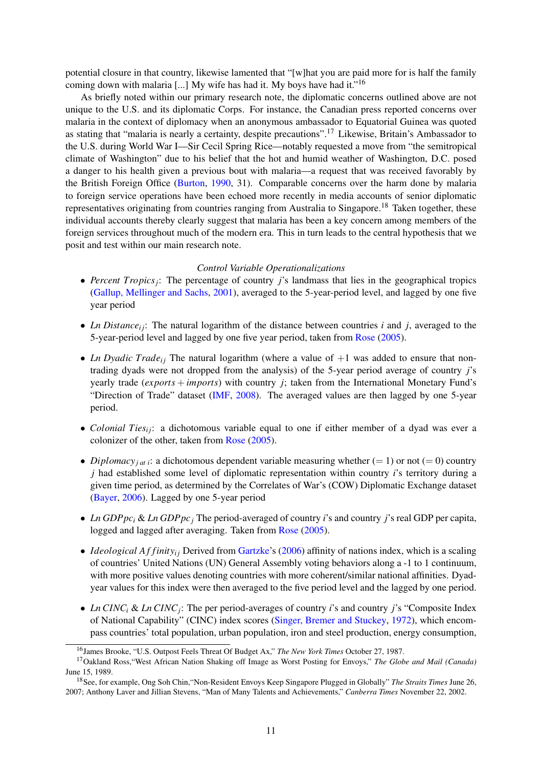potential closure in that country, likewise lamented that "[w]hat you are paid more for is half the family coming down with malaria [...] My wife has had it. My boys have had it."<sup>16</sup>

As briefly noted within our primary research note, the diplomatic concerns outlined above are not unique to the U.S. and its diplomatic Corps. For instance, the Canadian press reported concerns over malaria in the context of diplomacy when an anonymous ambassador to Equatorial Guinea was quoted as stating that "malaria is nearly a certainty, despite precautions".<sup>17</sup> Likewise, Britain's Ambassador to the U.S. during World War I—Sir Cecil Spring Rice—notably requested a move from "the semitropical climate of Washington" due to his belief that the hot and humid weather of Washington, D.C. posed a danger to his health given a previous bout with malaria—a request that was received favorably by the British Foreign Office (Burton, 1990, 31). Comparable concerns over the harm done by malaria to foreign service operations have been echoed more recently in media accounts of senior diplomatic representatives originating from countries ranging from Australia to Singapore.<sup>18</sup> Taken together, these individual accounts thereby clearly suggest that malaria has been a key concern among members of the foreign services throughout much of the modern era. This in turn leads to the central hypothesis that we posit and test within our main research note.

#### *Control Variable Operationalizations*

- *Percent Tropics<sub>j</sub>*: The percentage of country *j*'s landmass that lies in the geographical tropics (Gallup, Mellinger and Sachs, 2001), averaged to the 5-year-period level, and lagged by one five year period
- *Ln Distance*<sub>i</sub>; The natural logarithm of the distance between countries *i* and *j*, averaged to the 5-year-period level and lagged by one five year period, taken from Rose (2005).
- *Ln Dyadic Trade<sub>i</sub>*; The natural logarithm (where a value of  $+1$  was added to ensure that nontrading dyads were not dropped from the analysis) of the 5-year period average of country *j*'s yearly trade (*exports* + *imports*) with country *j*; taken from the International Monetary Fund's "Direction of Trade" dataset (IMF, 2008). The averaged values are then lagged by one 5-year period.
- *Colonial Ties<sub>ij</sub>*: a dichotomous variable equal to one if either member of a dyad was ever a colonizer of the other, taken from Rose (2005).
- *Diplomacy<sub>i at i</sub>*: a dichotomous dependent variable measuring whether (= 1) or not (= 0) country *j* had established some level of diplomatic representation within country *i*'s territory during a given time period, as determined by the Correlates of War's (COW) Diplomatic Exchange dataset (Bayer, 2006). Lagged by one 5-year period
- *• Ln GDPpci* & *Ln GDPpcj* The period-averaged of country *i*'s and country *j*'s real GDP per capita, logged and lagged after averaging. Taken from Rose (2005).
- *Ideological Affinity<sub>ii</sub>* Derived from Gartzke's (2006) affinity of nations index, which is a scaling of countries' United Nations (UN) General Assembly voting behaviors along a -1 to 1 continuum, with more positive values denoting countries with more coherent/similar national affinities. Dyadyear values for this index were then averaged to the five period level and the lagged by one period.
- *• Ln CINCi* & *Ln CINCj*: The per period-averages of country *i*'s and country *j*'s "Composite Index of National Capability" (CINC) index scores (Singer, Bremer and Stuckey, 1972), which encompass countries' total population, urban population, iron and steel production, energy consumption,

<sup>16</sup>James Brooke, "U.S. Outpost Feels Threat Of Budget Ax," *The New York Times* October 27, 1987.

<sup>17</sup>Oakland Ross,"West African Nation Shaking off Image as Worst Posting for Envoys," *The Globe and Mail (Canada)* June 15, 1989.

<sup>18</sup>See, for example, Ong Soh Chin,"Non-Resident Envoys Keep Singapore Plugged in Globally" *The Straits Times* June 26, 2007; Anthony Laver and Jillian Stevens, "Man of Many Talents and Achievements," *Canberra Times* November 22, 2002.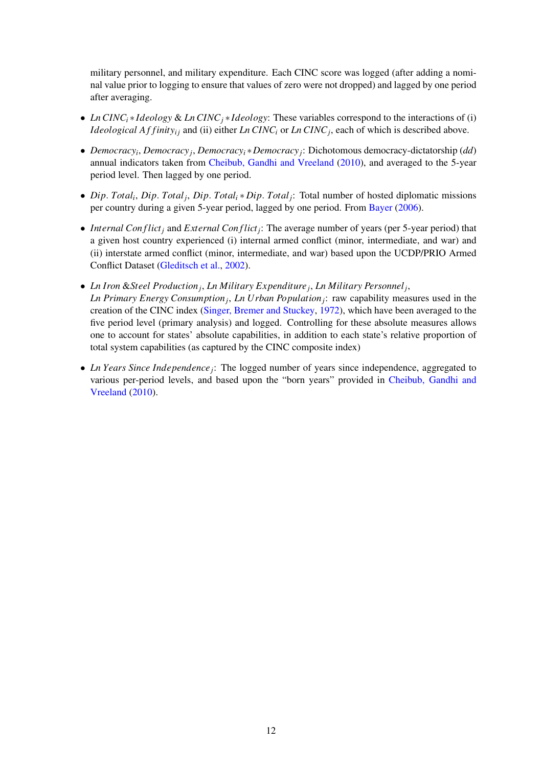military personnel, and military expenditure. Each CINC score was logged (after adding a nominal value prior to logging to ensure that values of zero were not dropped) and lagged by one period after averaging.

- *Ln CINC<sub>i</sub>*  $\star$  *Ideology* & *Ln CINC<sub>i</sub>*  $\star$ *Ideology*: These variables correspond to the interactions of (i) *Ideological Affinity<sub>ii</sub>* and (ii) either *Ln CINC<sub>i</sub>* or *Ln CINC<sub>i</sub>*, each of which is described above.
- *Democracy<sub>i</sub>*, *Democracy<sub>i</sub>*, *Democracy<sub>i</sub>*<sup>\*</sup> *Democracy<sub>i</sub>*: Dichotomous democracy-dictatorship (*dd*) annual indicators taken from Cheibub, Gandhi and Vreeland (2010), and averaged to the 5-year period level. Then lagged by one period.
- *Dip. Total<sub>i</sub>*, *Dip. Total<sub>i</sub>*, *Dip. Total<sub>i</sub>*  $\star$  *Dip. Total<sub>i</sub>*: Total number of hosted diplomatic missions per country during a given 5-year period, lagged by one period. From Bayer (2006).
- *Internal Conflict<sub>i</sub>* and *External Conflict<sub>i</sub>*: The average number of years (per 5-year period) that a given host country experienced (i) internal armed conflict (minor, intermediate, and war) and (ii) interstate armed conflict (minor, intermediate, and war) based upon the UCDP/PRIO Armed Conflict Dataset (Gleditsch et al., 2002).
- *• Ln Iron* &*Steel Productionj*, *Ln Military Expenditurej*, *Ln Military Personnelj*,
- *Ln Primary Energy Consumptionj*, *Ln Urban Populationj*: raw capability measures used in the creation of the CINC index (Singer, Bremer and Stuckey, 1972), which have been averaged to the five period level (primary analysis) and logged. Controlling for these absolute measures allows one to account for states' absolute capabilities, in addition to each state's relative proportion of total system capabilities (as captured by the CINC composite index)
- *Ln Years Since Independence*; The logged number of years since independence, aggregated to various per-period levels, and based upon the "born years" provided in Cheibub, Gandhi and Vreeland (2010).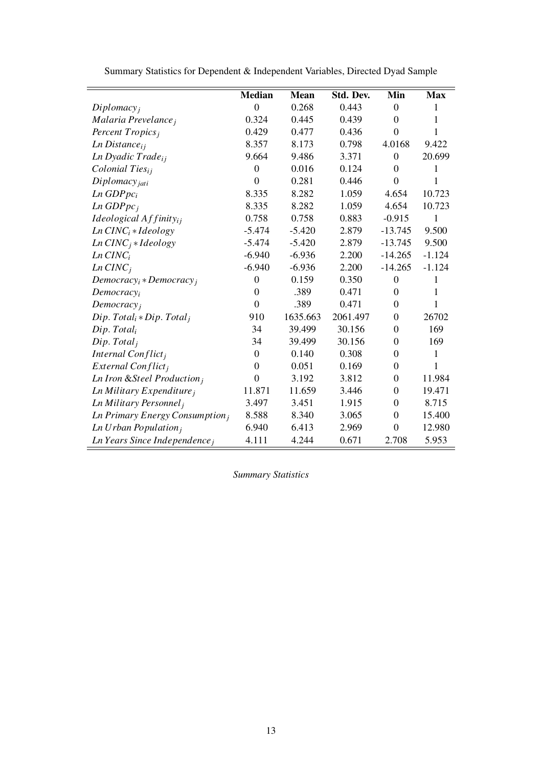|                                         | <b>Median</b>    | <b>Mean</b> | Std. Dev. | Min              | <b>Max</b>   |
|-----------------------------------------|------------------|-------------|-----------|------------------|--------------|
| Diplomacy <sub>i</sub>                  | $\overline{0}$   | 0.268       | 0.443     | $\theta$         | 1            |
| Malaria Prevelance;                     | 0.324            | 0.445       | 0.439     | $\overline{0}$   | 1            |
| Percent Tropics;                        | 0.429            | 0.477       | 0.436     | $\overline{0}$   | 1            |
| $Ln\ Distance_{ij}$                     | 8.357            | 8.173       | 0.798     | 4.0168           | 9.422        |
| Ln Dyadic Trade <sub>ii</sub>           | 9.664            | 9.486       | 3.371     | $\theta$         | 20.699       |
| $\emph{Colonial Ties}_{i}$              | $\theta$         | 0.016       | 0.124     | $\overline{0}$   | 1            |
| $Diplomacy_{jati}$                      | $\overline{0}$   | 0.281       | 0.446     | $\overline{0}$   | 1            |
| $Ln$ GDP $pc_i$                         | 8.335            | 8.282       | 1.059     | 4.654            | 10.723       |
| $Ln$ GDP $pc_i$                         | 8.335            | 8.282       | 1.059     | 4.654            | 10.723       |
| Ideological $Affinity_{ij}$             | 0.758            | 0.758       | 0.883     | $-0.915$         | $\mathbf{1}$ |
| $Ln$ $CINCi * Ideology$                 | $-5.474$         | $-5.420$    | 2.879     | $-13.745$        | 9.500        |
| $Ln$ $CINCj * Ideology$                 | $-5.474$         | $-5.420$    | 2.879     | $-13.745$        | 9.500        |
| $Ln$ $CINCi$                            | $-6.940$         | $-6.936$    | 2.200     | $-14.265$        | $-1.124$     |
| $Ln$ $CINCi$                            | $-6.940$         | $-6.936$    | 2.200     | $-14.265$        | $-1.124$     |
| $Democracy_i * Democracy_i$             | $\boldsymbol{0}$ | 0.159       | 0.350     | $\overline{0}$   | $\mathbf{1}$ |
| Democracy <sub>i</sub>                  | $\theta$         | .389        | 0.471     | $\overline{0}$   | 1            |
| Democracy <sub>i</sub>                  | $\theta$         | .389        | 0.471     | $\overline{0}$   | 1            |
| $Dip. Totali * Dip. Totali$             | 910              | 1635.663    | 2061.497  | $\overline{0}$   | 26702        |
| Dip. Total <sub>i</sub>                 | 34               | 39.499      | 30.156    | $\theta$         | 169          |
| Dip. Total <sub>i</sub>                 | 34               | 39.499      | 30.156    | $\overline{0}$   | 169          |
| Internal Conflict <sub>i</sub>          | $\Omega$         | 0.140       | 0.308     | $\theta$         | 1            |
| External Conflict <sub>i</sub>          | $\theta$         | 0.051       | 0.169     | $\overline{0}$   | $\mathbf{1}$ |
| Ln Iron & Steel Production <sub>i</sub> | $\overline{0}$   | 3.192       | 3.812     | $\boldsymbol{0}$ | 11.984       |
| Ln Military Expenditure $_i$            | 11.871           | 11.659      | 3.446     | $\boldsymbol{0}$ | 19.471       |
| Ln Military Personnel <sub>i</sub>      | 3.497            | 3.451       | 1.915     | $\boldsymbol{0}$ | 8.715        |
| Ln Primary Energy Consumption $_i$      | 8.588            | 8.340       | 3.065     | $\boldsymbol{0}$ | 15.400       |
| Ln Urban Population $_i$                | 6.940            | 6.413       | 2.969     | $\overline{0}$   | 12.980       |
| $Ln$ Years Since Independence,          | 4.111            | 4.244       | 0.671     | 2.708            | 5.953        |

Summary Statistics for Dependent & Independent Variables, Directed Dyad Sample

*Summary Statistics*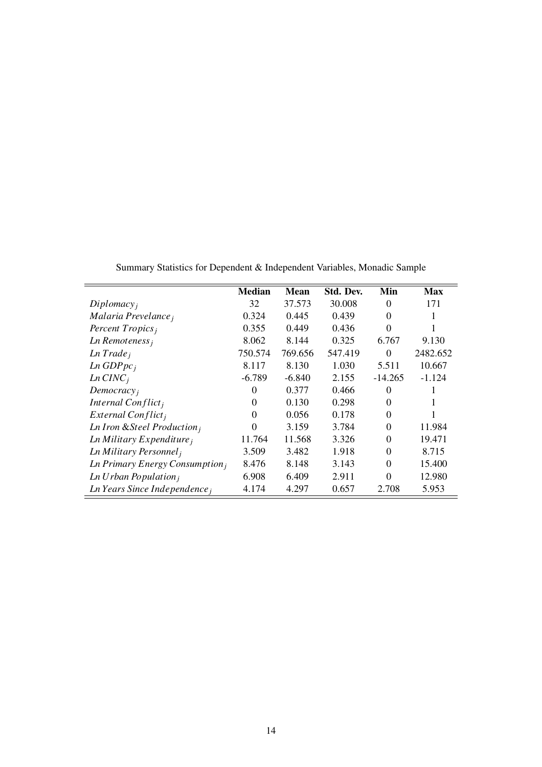|                                                   | <b>Median</b> | <b>Mean</b> | Std. Dev. | Min       | <b>Max</b> |
|---------------------------------------------------|---------------|-------------|-----------|-----------|------------|
| Diplomacy <sub>i</sub>                            | 32            | 37.573      | 30.008    | $\Omega$  | 171        |
| Malaria Prevelance,                               | 0.324         | 0.445       | 0.439     | $\Omega$  |            |
| Percent $Tropicsi$                                | 0.355         | 0.449       | 0.436     | $\Omega$  |            |
| $Ln$ Remoteness $_i$                              | 8.062         | 8.144       | 0.325     | 6.767     | 9.130      |
| Ln Trade <sub>i</sub>                             | 750.574       | 769.656     | 547.419   | $\Omega$  | 2482.652   |
| Ln GDPpc <sub>i</sub>                             | 8.117         | 8.130       | 1.030     | 5.511     | 10.667     |
| $Ln$ $CINCi$                                      | $-6.789$      | $-6.840$    | 2.155     | $-14.265$ | $-1.124$   |
| Democracy <sub>i</sub>                            | $\Omega$      | 0.377       | 0.466     | $\Omega$  |            |
| Internal Conflict <sub>i</sub>                    | $\Omega$      | 0.130       | 0.298     | $\Omega$  | 1          |
| External Conflict <sub>i</sub>                    | $\Omega$      | 0.056       | 0.178     | $\Omega$  |            |
| Ln Iron & Steel Production <sub>i</sub>           | $\Omega$      | 3.159       | 3.784     | $\Omega$  | 11.984     |
| $Ln$ Military Expenditure,                        | 11.764        | 11.568      | 3.326     | $\Omega$  | 19.471     |
| Ln Military Personnel <sub>i</sub>                | 3.509         | 3.482       | 1.918     | $\Omega$  | 8.715      |
| <b>Ln Primary Energy Consumption</b> <sub>i</sub> | 8.476         | 8.148       | 3.143     | $\theta$  | 15.400     |
| Ln Urban Population $_i$                          | 6.908         | 6.409       | 2.911     | $\Omega$  | 12.980     |
| Ln Years Since Independence $_i$                  | 4.174         | 4.297       | 0.657     | 2.708     | 5.953      |

Summary Statistics for Dependent & Independent Variables, Monadic Sample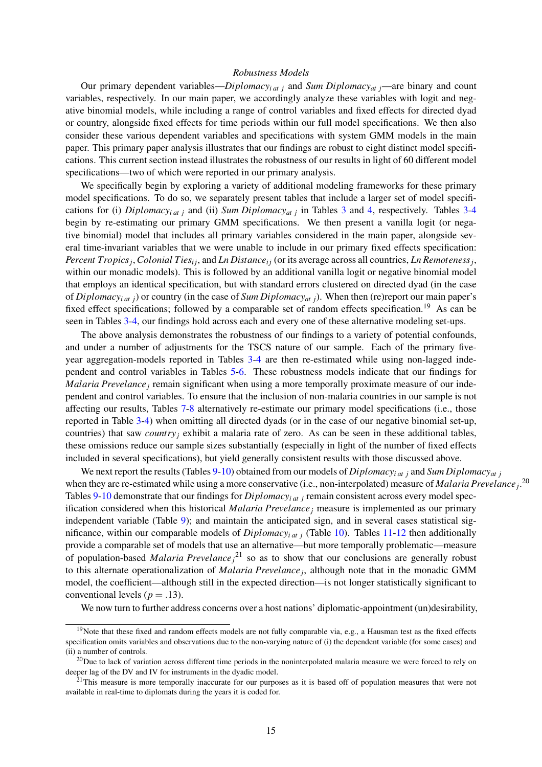#### *Robustness Models*

Our primary dependent variables—*Diplomacy<sub>i at j</sub>* and *Sum Diplomacy<sub>at j</sub>—are binary* and count variables, respectively. In our main paper, we accordingly analyze these variables with logit and negative binomial models, while including a range of control variables and fixed effects for directed dyad or country, alongside fixed effects for time periods within our full model specifications. We then also consider these various dependent variables and specifications with system GMM models in the main paper. This primary paper analysis illustrates that our findings are robust to eight distinct model specifications. This current section instead illustrates the robustness of our results in light of 60 different model specifications—two of which were reported in our primary analysis.

We specifically begin by exploring a variety of additional modeling frameworks for these primary model specifications. To do so, we separately present tables that include a larger set of model specifications for (i) *Diplomacy<sub>i at j</sub>* and (ii) *Sum Diplomacy<sub>at j</sub>* in Tables 3 and 4, respectively. Tables 3-4 begin by re-estimating our primary GMM specifications. We then present a vanilla logit (or negative binomial) model that includes all primary variables considered in the main paper, alongside several time-invariant variables that we were unable to include in our primary fixed effects specification: *Percent Tropics<sub>i</sub>*, *Colonial Ties<sub>i</sub><sub>i</sub>*, and *Ln Distance<sub>i</sub>* (or its average across all countries, *Ln Remoteness<sub>i</sub>*, within our monadic models). This is followed by an additional vanilla logit or negative binomial model that employs an identical specification, but with standard errors clustered on directed dyad (in the case of *Diplomacyi at j*) or country (in the case of *Sum Diplomacyat j*). When then (re)report our main paper's fixed effect specifications; followed by a comparable set of random effects specification.<sup>19</sup> As can be seen in Tables 3-4, our findings hold across each and every one of these alternative modeling set-ups.

The above analysis demonstrates the robustness of our findings to a variety of potential confounds, and under a number of adjustments for the TSCS nature of our sample. Each of the primary fiveyear aggregation-models reported in Tables 3-4 are then re-estimated while using non-lagged independent and control variables in Tables 5-6. These robustness models indicate that our findings for *Malaria Prevelance*; remain significant when using a more temporally proximate measure of our independent and control variables. To ensure that the inclusion of non-malaria countries in our sample is not affecting our results, Tables 7-8 alternatively re-estimate our primary model specifications (i.e., those reported in Table 3-4) when omitting all directed dyads (or in the case of our negative binomial set-up, countries) that saw *country<sub>i</sub>* exhibit a malaria rate of zero. As can be seen in these additional tables, these omissions reduce our sample sizes substantially (especially in light of the number of fixed effects included in several specifications), but yield generally consistent results with those discussed above.

We next report the results (Tables 9-10) obtained from our models of *Diplomacyi at j* and *Sum Diplomacyat j* when they are re-estimated while using a more conservative (i.e., non-interpolated) measure of *Malaria Prevelance*<sup>20</sup> Tables 9-10 demonstrate that our findings for *Diplomacyi at j* remain consistent across every model specification considered when this historical *Malaria Prevelancej* measure is implemented as our primary independent variable (Table 9); and maintain the anticipated sign, and in several cases statistical significance, within our comparable models of *Diplomacyi at j* (Table 10). Tables 11-12 then additionally provide a comparable set of models that use an alternative—but more temporally problematic—measure of population-based *Malaria Prevelancej* <sup>21</sup> so as to show that our conclusions are generally robust to this alternate operationalization of *Malaria Prevelancej*, although note that in the monadic GMM model, the coefficient—although still in the expected direction—is not longer statistically significant to conventional levels ( $p = .13$ ).

We now turn to further address concerns over a host nations' diplomatic-appointment (un)desirability,

<sup>&</sup>lt;sup>19</sup>Note that these fixed and random effects models are not fully comparable via, e.g., a Hausman test as the fixed effects specification omits variables and observations due to the non-varying nature of (i) the dependent variable (for some cases) and (ii) a number of controls.

 $^{20}$ Due to lack of variation across different time periods in the noninterpolated malaria measure we were forced to rely on deeper lag of the DV and IV for instruments in the dyadic model.

 $21$ This measure is more temporally inaccurate for our purposes as it is based off of population measures that were not available in real-time to diplomats during the years it is coded for.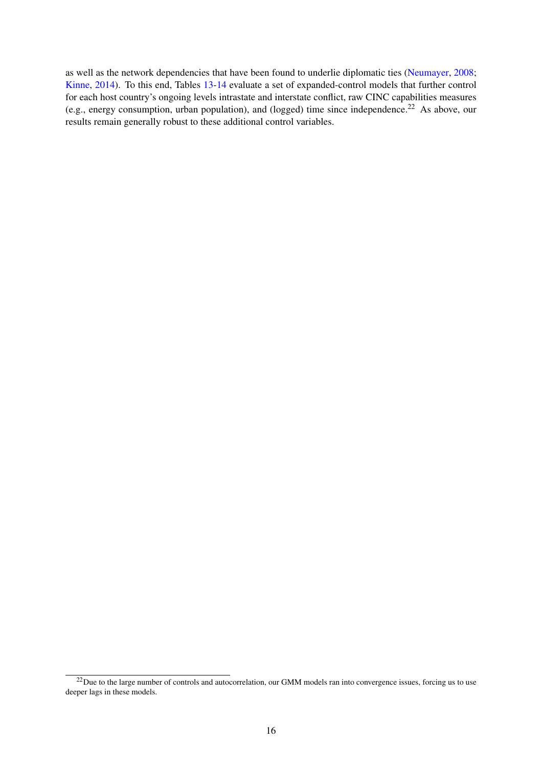as well as the network dependencies that have been found to underlie diplomatic ties (Neumayer, 2008; Kinne, 2014). To this end, Tables 13-14 evaluate a set of expanded-control models that further control for each host country's ongoing levels intrastate and interstate conflict, raw CINC capabilities measures (e.g., energy consumption, urban population), and (logged) time since independence.<sup>22</sup> As above, our results remain generally robust to these additional control variables.

<sup>&</sup>lt;sup>22</sup>Due to the large number of controls and autocorrelation, our GMM models ran into convergence issues, forcing us to use deeper lags in these models.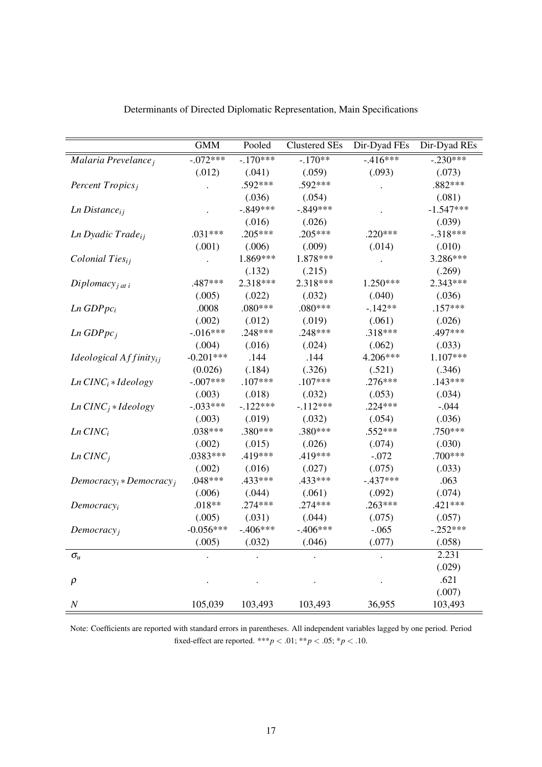|                                   | <b>GMM</b>  | Pooled     | <b>Clustered SEs</b> | Dir-Dyad FEs | Dir-Dyad REs |
|-----------------------------------|-------------|------------|----------------------|--------------|--------------|
| Malaria Prevelance <sub>i</sub>   | $-0.072***$ | $-170***$  | $-170**$             | $-416***$    | $-.230***$   |
|                                   | (.012)      | (.041)     | (.059)               | (.093)       | (.073)       |
| Percent Tropics <sub>j</sub>      |             | .592***    | .592***              |              | .882***      |
|                                   |             | (.036)     | (.054)               |              | (.081)       |
| $Ln\ Distance_{ij}$               |             | $-.849***$ | $-.849***$           |              | $-1.547***$  |
|                                   |             | (.016)     | (.026)               |              | (.039)       |
| Ln Dyadic Trade <sub>ij</sub>     | $.031***$   | $.205***$  | $.205***$            | .220***      | $-.318***$   |
|                                   | (.001)      | (.006)     | (.009)               | (.014)       | (.010)       |
| Colonial Ties <sub>ij</sub>       |             | 1.869***   | 1.878***             |              | 3.286***     |
|                                   |             | (.132)     | (.215)               |              | (.269)       |
| Diplomacy <sub>j at i</sub>       | .487***     | 2.318***   | 2.318***             | $1.250***$   | 2.343***     |
|                                   | (.005)      | (.022)     | (.032)               | (.040)       | (.036)       |
| $Ln$ GDP $pc_i$                   | .0008       | .080***    | $.080***$            | $-.142**$    | $.157***$    |
|                                   | (.002)      | (.012)     | (.019)               | (.061)       | (.026)       |
| Ln GDPpc <sub>j</sub>             | $-.016***$  | .248***    | .248***              | .318***      | .497***      |
|                                   | (.004)      | (.016)     | (.024)               | (.062)       | (.033)       |
| Ideological $Affinity_{ij}$       | $-0.201***$ | .144       | .144                 | 4.206***     | $1.107***$   |
|                                   | (0.026)     | (.184)     | (.326)               | (.521)       | (.346)       |
| $Ln$ $CINCi * Ideology$           | $-.007***$  | $.107***$  | $.107***$            | $.276***$    | $.143***$    |
|                                   | (.003)      | (.018)     | (.032)               | (.053)       | (.034)       |
| $Ln$ $CINC_j * Ideology$          | $-.033***$  | $-.122***$ | $-112***$            | $.224***$    | $-.044$      |
|                                   | (.003)      | (.019)     | (.032)               | (.054)       | (.036)       |
| $Ln$ $CINCi$                      | .038***     | .380***    | .380***              | .552***      | .750***      |
|                                   | (.002)      | (.015)     | (.026)               | (.074)       | (.030)       |
| $Ln$ $CINCj$                      | $.0383***$  | .419***    | .419***              | $-.072$      | .700***      |
|                                   | (.002)      | (.016)     | (.027)               | (.075)       | (.033)       |
| $Democracy_i * Democracy_i$       | $.048***$   | .433***    | .433***              | $-.437***$   | .063         |
|                                   | (.006)      | (.044)     | (.061)               | (.092)       | (.074)       |
| Democracy <sub>i</sub>            | $.018**$    | .274 ***   | $.274***$            | $.263***$    | $.421***$    |
|                                   | (.005)      | (.031)     | (.044)               | (.075)       | (.057)       |
| Democracy <sub>j</sub>            | $-0.056***$ | $-.406***$ | $-.406***$           | $-.065$      | $-.252***$   |
|                                   | (.005)      | (.032)     | (.046)               | (.077)       | (.058)       |
| $\sigma_{\!\scriptscriptstyle U}$ |             |            |                      |              | 2.231        |
|                                   |             |            |                      |              | (.029)       |
| $\rho$                            |             |            |                      |              | .621         |
|                                   |             |            |                      |              | (.007)       |
| $\cal N$                          | 105,039     | 103,493    | 103,493              | 36,955       | 103,493      |

Determinants of Directed Diplomatic Representation, Main Specifications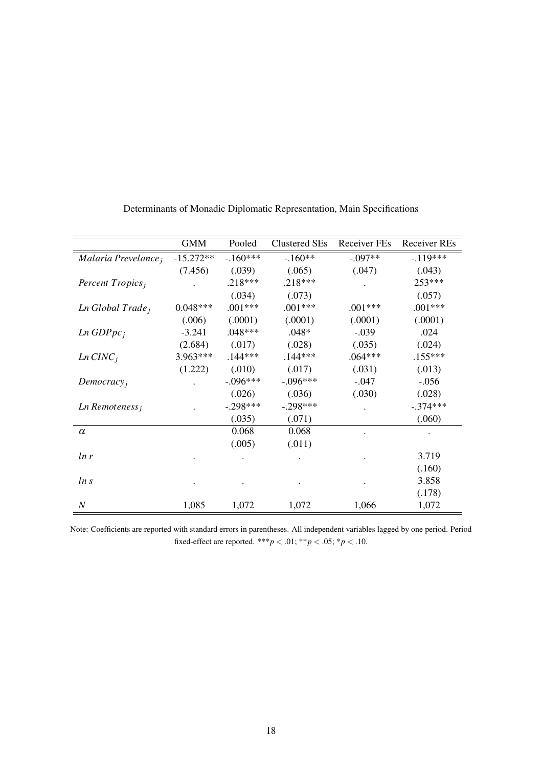|                              | <b>GMM</b>  | Pooled     | <b>Clustered SEs</b> | Receiver FEs | <b>Receiver REs</b> |
|------------------------------|-------------|------------|----------------------|--------------|---------------------|
| Malaria Prevelance;          | $-15.272**$ | $-160***$  | $-.160**$            | $-.097**$    | $-119***$           |
|                              | (7.456)     | (.039)     | (.065)               | (.047)       | (.043)              |
| Percent Tropics <sub>i</sub> |             | $.218***$  | .218***              |              | 253***              |
|                              |             | (.034)     | (.073)               |              | (.057)              |
| Ln Global Trade <sub>j</sub> | $0.048***$  | $.001***$  | $.001***$            | $.001***$    | $.001***$           |
|                              | (.006)      | (.0001)    | (.0001)              | (.0001)      | (.0001)             |
| $Ln$ GDP $pc_i$              | $-3.241$    | $.048***$  | $.048*$              | $-.039$      | .024                |
|                              | (2.684)     | (.017)     | (.028)               | (.035)       | (.024)              |
| $Ln$ $CINCi$                 | 3.963***    | $.144***$  | $.144***$            | $.064***$    | $.155***$           |
|                              | (1.222)     | (.010)     | (.017)               | (.031)       | (.013)              |
| Democracy <sub>i</sub>       |             | $-.096***$ | $-.096***$           | $-.047$      | $-.056$             |
|                              |             | (.026)     | (.036)               | (.030)       | (.028)              |
| $Ln$ Remoteness <sub>i</sub> |             | $-.298***$ | $-.298***$           |              | $-.374***$          |
|                              |             | (.035)     | (.071)               |              | (.060)              |
| $\alpha$                     |             | 0.068      | 0.068                |              |                     |
|                              |             | (.005)     | (.011)               |              |                     |
| ln r                         |             |            |                      |              | 3.719               |
|                              |             |            |                      |              | (.160)              |
| ln s                         |             |            |                      |              | 3.858               |
|                              |             |            |                      |              | (.178)              |
| $\boldsymbol{N}$             | 1,085       | 1,072      | 1,072                | 1,066        | 1,072               |

Determinants of Monadic Diplomatic Representation, Main Specifications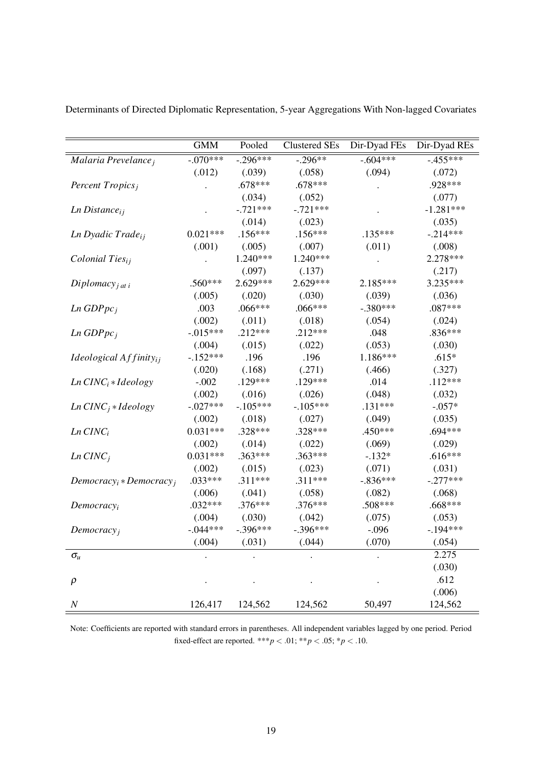|                                    | <b>GMM</b>  | Pooled      | Clustered SEs | Dir-Dyad FEs | Dir-Dyad REs |
|------------------------------------|-------------|-------------|---------------|--------------|--------------|
| Malaria Prevelance;                | $-0.070***$ | $-0.296***$ | $-0.296**$    | $-0.604***$  | $-.455***$   |
|                                    | (.012)      | (.039)      | (.058)        | (.094)       | (.072)       |
| Percent Tropics <sub>j</sub>       |             | $.678***$   | $.678***$     |              | .928***      |
|                                    |             | (.034)      | (.052)        |              | (.077)       |
| $Ln\ Distance_{ij}$                |             | $-.721***$  | $-.721***$    |              | $-1.281***$  |
|                                    |             | (.014)      | (.023)        |              | (.035)       |
| Ln Dyadic Trade <sub>ii</sub>      | $0.021***$  | $.156***$   | $.156***$     | $.135***$    | $-.214***$   |
|                                    | (.001)      | (.005)      | (.007)        | (.011)       | (.008)       |
| Colonial Ties <sub>ij</sub>        |             | 1.240***    | 1.240***      |              | 2.278***     |
|                                    |             | (.097)      | (.137)        |              | (.217)       |
| Diplomacy <sub>j at i</sub>        | .560***     | 2.629***    | 2.629***      | 2.185***     | 3.235***     |
|                                    | (.005)      | (.020)      | (.030)        | (.039)       | (.036)       |
| Ln GDPpc <sub>i</sub>              | .003        | .066***     | .066***       | $-.380***$   | .087***      |
|                                    | (.002)      | (.011)      | (.018)        | (.054)       | (.024)       |
| $Ln$ GDP $pcj$                     | $-0.015***$ | $.212***$   | $.212***$     | .048         | .836***      |
|                                    | (.004)      | (.015)      | (.022)        | (.053)       | (.030)       |
| <i>Ideological</i> $Affinity_{ij}$ | $-.152***$  | .196        | .196          | 1.186***     | $.615*$      |
|                                    | (.020)      | (.168)      | (.271)        | (.466)       | (.327)       |
| $Ln$ $CINCi * Ideology$            | $-.002$     | $.129***$   | $.129***$     | .014         | $.112***$    |
|                                    | (.002)      | (.016)      | (.026)        | (.048)       | (.032)       |
| $Ln$ $CINC_j * Ideology$           | $-.027***$  | $-.105***$  | $-.105***$    | $.131***$    | $-.057*$     |
|                                    | (.002)      | (.018)      | (.027)        | (.049)       | (.035)       |
| $Ln$ $CINCi$                       | $0.031***$  | $.328***$   | .328***       | .450***      | .694***      |
|                                    | (.002)      | (.014)      | (.022)        | (.069)       | (.029)       |
| $Ln$ $CINCj$                       | $0.031***$  | $.363***$   | $.363***$     | $-.132*$     | $.616***$    |
|                                    | (.002)      | (.015)      | (.023)        | (.071)       | (.031)       |
| $Democracy_i * Democracy_i$        | $.033***$   | $.311***$   | $.311***$     | $-.836***$   | $-.277***$   |
|                                    | (.006)      | (.041)      | (.058)        | (.082)       | (.068)       |
| Democracy <sub>i</sub>             | $.032***$   | .376***     | .376***       | .508***      | .668***      |
|                                    | (.004)      | (.030)      | (.042)        | (.075)       | (.053)       |
| Democracy <sub>i</sub>             | $-.044***$  | $-.396***$  | $-.396***$    | $-.096$      | $-194***$    |
|                                    | (.004)      | (.031)      | (.044)        | (.070)       | (.054)       |
| $\sigma_{\!\scriptscriptstyle U}$  |             |             |               |              | 2.275        |
|                                    |             |             |               |              | (.030)       |
| $\rho$                             |             |             |               |              | .612         |
|                                    |             |             |               |              | (.006)       |
| $\cal N$                           | 126,417     | 124,562     | 124,562       | 50,497       | 124,562      |

Determinants of Directed Diplomatic Representation, 5-year Aggregations With Non-lagged Covariates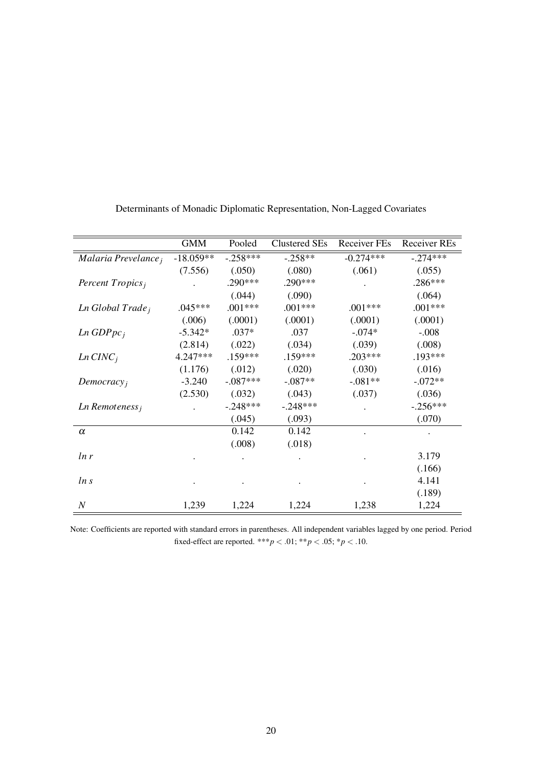|                              | <b>GMM</b>  | Pooled     | <b>Clustered SEs</b> | Receiver FEs | <b>Receiver REs</b> |
|------------------------------|-------------|------------|----------------------|--------------|---------------------|
| Malaria Prevelance,          | $-18.059**$ | $-.258***$ | $-.258**$            | $-0.274***$  | $-.274***$          |
|                              | (7.556)     | (.050)     | (.080)               | (.061)       | (.055)              |
| Percent $Tropicsi$           |             | $.290***$  | .290***              |              | .286***             |
|                              |             | (.044)     | (.090)               |              | (.064)              |
| Ln Global Trade <sub>j</sub> | $.045***$   | $.001***$  | $.001***$            | $.001***$    | $.001***$           |
|                              | (.006)      | (.0001)    | (.0001)              | (.0001)      | (.0001)             |
| $Ln$ GDP $pc_i$              | $-5.342*$   | $.037*$    | .037                 | $-.074*$     | $-.008$             |
|                              | (2.814)     | (.022)     | (.034)               | (.039)       | (.008)              |
| $Ln$ $CINCi$                 | 4.247***    | $.159***$  | $.159***$            | $.203***$    | $.193***$           |
|                              | (1.176)     | (.012)     | (.020)               | (.030)       | (.016)              |
| Democracy <sub>i</sub>       | $-3.240$    | $-.087***$ | $-.087**$            | $-.081**$    | $-.072**$           |
|                              | (2.530)     | (.032)     | (.043)               | (.037)       | (.036)              |
| $Ln$ Remoteness <sub>i</sub> |             | $-.248***$ | $-.248***$           |              | $-.256***$          |
|                              |             | (.045)     | (.093)               |              | (.070)              |
| $\alpha$                     |             | 0.142      | 0.142                |              |                     |
|                              |             | (.008)     | (.018)               |              |                     |
| ln r                         |             |            |                      |              | 3.179               |
|                              |             |            |                      |              | (.166)              |
| ln s                         |             |            |                      |              | 4.141               |
|                              |             |            |                      |              | (.189)              |
| $\boldsymbol{N}$             | 1,239       | 1,224      | 1,224                | 1,238        | 1,224               |

Determinants of Monadic Diplomatic Representation, Non-Lagged Covariates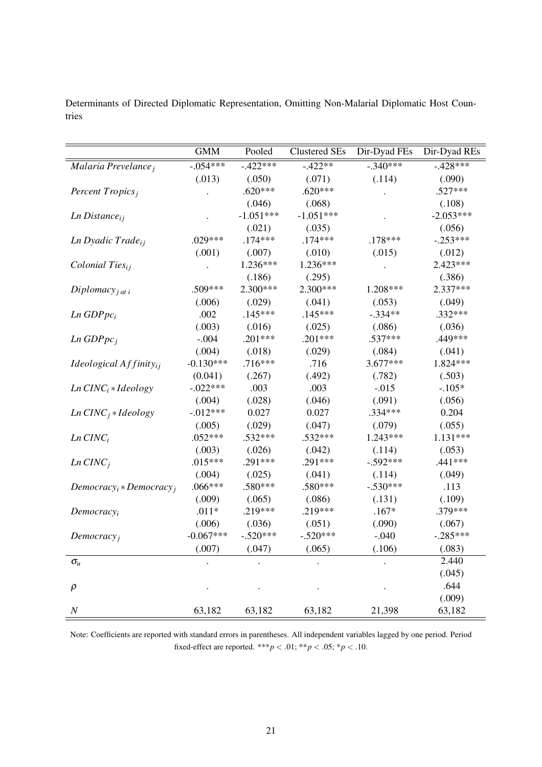|                                   | <b>GMM</b>  | Pooled      | <b>Clustered SEs</b> | Dir-Dyad FEs | Dir-Dyad REs |
|-----------------------------------|-------------|-------------|----------------------|--------------|--------------|
| Malaria Prevelance;               | $-0.054***$ | $-422***$   | $-422**$             | $-340***$    | $-428***$    |
|                                   | (.013)      | (.050)      | (.071)               | (.114)       | (.090)       |
| Percent Tropics;                  |             | $.620***$   | $.620***$            |              | $.527***$    |
|                                   |             | (.046)      | (.068)               |              | (.108)       |
| $Ln\ Distance_{ij}$               |             | $-1.051***$ | $-1.051***$          |              | $-2.053***$  |
|                                   |             | (.021)      | (.035)               |              | (.056)       |
| Ln Dyadic Trade <sub>ij</sub>     | $.029***$   | $.174***$   | $.174***$            | $.178***$    | $-.253***$   |
|                                   | (.001)      | (.007)      | (.010)               | (.015)       | (.012)       |
| Colonial Ties <sub>ij</sub>       |             | $1.236***$  | 1.236***             |              | 2.423***     |
|                                   |             | (.186)      | (.295)               |              | (.386)       |
| $Diplomacy_{j \text{ at } i}$     | .509***     | 2.300***    | 2.300***             | 1.208***     | 2.337***     |
|                                   | (.006)      | (.029)      | (.041)               | (.053)       | (.049)       |
| $Ln$ GDP $pc_i$                   | .002        | $.145***$   | $.145***$            | $-.334**$    | $.332***$    |
|                                   | (.003)      | (.016)      | (.025)               | (.086)       | (.036)       |
| $Ln$ GDP $pc_i$                   | $-.004$     | $.201***$   | $.201***$            | $.537***$    | .449***      |
|                                   | (.004)      | (.018)      | (.029)               | (.084)       | (.041)       |
| Ideological $Affinity_{ii}$       | $-0.130***$ | $.716***$   | .716                 | 3.677***     | 1.824 ***    |
|                                   | (0.041)     | (.267)      | (.492)               | (.782)       | (.503)       |
| $Ln$ $CINCi * Ideology$           | $-.022***$  | .003        | .003                 | $-.015$      | $-.105*$     |
|                                   | (.004)      | (.028)      | (.046)               | (.091)       | (.056)       |
| $Ln$ CINC <sub>i</sub> * Ideology | $-0.012***$ | 0.027       | 0.027                | $.334***$    | 0.204        |
|                                   | (.005)      | (.029)      | (.047)               | (.079)       | (.055)       |
| $Ln$ $CINCi$                      | $.052***$   | $.532***$   | $.532***$            | $1.243***$   | 1.131***     |
|                                   | (.003)      | (.026)      | (.042)               | (.114)       | (.053)       |
| $Ln$ $CINCj$                      | $.015***$   | $.291***$   | $.291***$            | $-.592***$   | $.441***$    |
|                                   | (.004)      | (.025)      | (.041)               | (.114)       | (.049)       |
| $Democracy_i * Democracy_i$       | $.066***$   | .580***     | .580***              | $-.530***$   | .113         |
|                                   | (.009)      | (.065)      | (.086)               | (.131)       | (.109)       |
| Democracy <sub>i</sub>            | $.011*$     | .219***     | $.219***$            | $.167*$      | .379***      |
|                                   | (.006)      | (.036)      | (.051)               | (.090)       | (.067)       |
| Democracy <sub>i</sub>            | $-0.067***$ | $-.520***$  | $-.520***$           | $-.040$      | $-.285***$   |
|                                   | (.007)      | (.047)      | (.065)               | (.106)       | (.083)       |
| $\sigma_u$                        |             |             |                      |              | 2.440        |
|                                   |             |             |                      |              | (.045)       |
| $\rho$                            |             |             |                      |              | .644         |
|                                   |             |             |                      |              | (.009)       |
| $\cal N$                          | 63,182      | 63,182      | 63,182               | 21,398       | 63,182       |

Determinants of Directed Diplomatic Representation, Omitting Non-Malarial Diplomatic Host Countries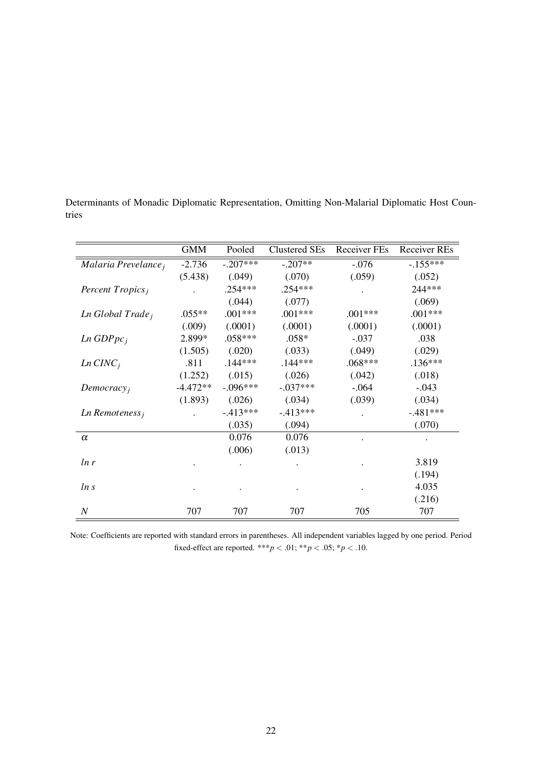|                              | <b>GMM</b> | Pooled     | <b>Clustered SEs</b> | <b>Receiver FEs</b> | <b>Receiver REs</b> |
|------------------------------|------------|------------|----------------------|---------------------|---------------------|
| Malaria Prevelance;          | $-2.736$   | $-.207***$ | $-.207**$            | $-.076$             | $-155***$           |
|                              | (5.438)    | (.049)     | (.070)               | (.059)              | (.052)              |
| Percent $Tropicsi$           |            | $.254***$  | $.254***$            |                     | 244***              |
|                              |            | (.044)     | (.077)               |                     | (.069)              |
| Ln Global Trade <sub>j</sub> | $.055**$   | $.001***$  | $.001***$            | $.001***$           | $.001***$           |
|                              | (.009)     | (.0001)    | (.0001)              | (.0001)             | (.0001)             |
| $Ln$ GDP $pc_i$              | 2.899*     | $.058***$  | $.058*$              | $-.037$             | .038                |
|                              | (1.505)    | (.020)     | (.033)               | (.049)              | (.029)              |
| $Ln$ $CINCj$                 | .811       | $.144***$  | $.144***$            | $.068***$           | $.136***$           |
|                              | (1.252)    | (.015)     | (.026)               | (.042)              | (.018)              |
| Democracy <sub>j</sub>       | $-4.472**$ | $-.096***$ | $-.037***$           | $-.064$             | $-.043$             |
|                              | (1.893)    | (.026)     | (.034)               | (.039)              | (.034)              |
| $Ln$ Remoteness <sub>i</sub> |            | $-413***$  | $-413***$            |                     | $-.481***$          |
|                              |            | (.035)     | (.094)               |                     | (.070)              |
| $\alpha$                     |            | 0.076      | 0.076                |                     |                     |
|                              |            | (.006)     | (.013)               |                     |                     |
| ln r                         |            |            |                      |                     | 3.819               |
|                              |            |            |                      |                     | (.194)              |
| ln s                         |            |            |                      |                     | 4.035               |
|                              |            |            |                      |                     | (.216)              |
| N                            | 707        | 707        | 707                  | 705                 | 707                 |

Determinants of Monadic Diplomatic Representation, Omitting Non-Malarial Diplomatic Host Countries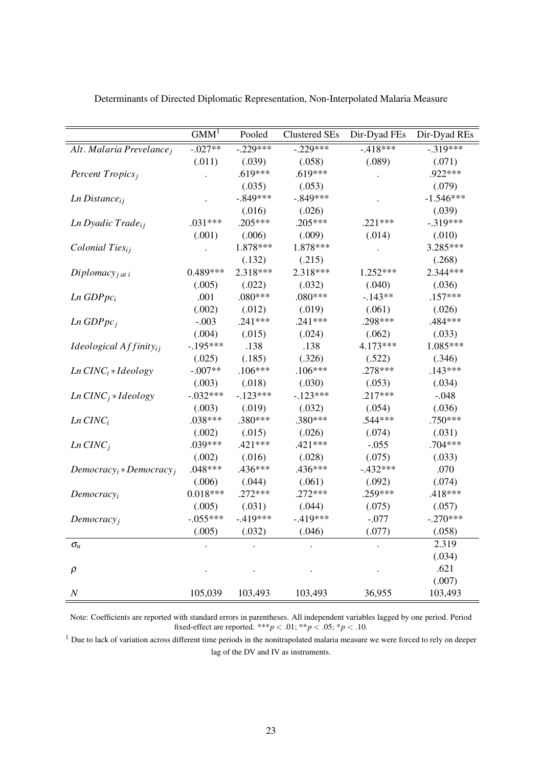|                                    | GMM <sup>1</sup> | Pooled     | <b>Clustered SEs</b> | Dir-Dyad FEs | Dir-Dyad REs |
|------------------------------------|------------------|------------|----------------------|--------------|--------------|
| Alt. Malaria Prevelance;           | $-.027**$        | $-.229***$ | $-.229***$           | $-418***$    | $-319***$    |
|                                    | (.011)           | (.039)     | (.058)               | (.089)       | (.071)       |
| Percent Tropics <sub>i</sub>       |                  | $.619***$  | $.619***$            |              | .922***      |
|                                    |                  | (.035)     | (.053)               |              | (.079)       |
| $Ln\ Distance_{ij}$                |                  | $-.849***$ | $-.849***$           |              | $-1.546***$  |
|                                    |                  | (.016)     | (.026)               |              | (.039)       |
| Ln Dyadic Trade <sub>ij</sub>      | $.031***$        | .205***    | $.205***$            | $.221***$    | $-.319***$   |
|                                    | (.001)           | (.006)     | (.009)               | (.014)       | (.010)       |
| Colonial Ties <sub>ij</sub>        |                  | 1.878***   | 1.878***             |              | 3.285***     |
|                                    |                  | (.132)     | (.215)               |              | (.268)       |
| Diplomacy <sub>j at i</sub>        | 0.489***         | 2.318***   | 2.318***             | $1.252***$   | 2.344***     |
|                                    | (.005)           | (.022)     | (.032)               | (.040)       | (.036)       |
| $Ln$ GDP $pc_i$                    | .001             | .080***    | $.080***$            | $-143**$     | $.157***$    |
|                                    | (.002)           | (.012)     | (.019)               | (.061)       | (.026)       |
| $Ln$ GDP $pcj$                     | $-.003$          | $.241***$  | $.241***$            | .298***      | .484***      |
|                                    | (.004)           | (.015)     | (.024)               | (.062)       | (.033)       |
| <i>Ideological</i> $Affinity_{ij}$ | $-.195***$       | .138       | .138                 | 4.173***     | $1.085***$   |
|                                    | (.025)           | (.185)     | (.326)               | (.522)       | (.346)       |
| $Ln$ $CINCi * Ideology$            | $-.007**$        | $.106***$  | $.106***$            | .278***      | $.143***$    |
|                                    | (.003)           | (.018)     | (.030)               | (.053)       | (.034)       |
| $Ln$ CINC <sub>i</sub> * Ideology  | $-.032***$       | $-.123***$ | $-.123***$           | $.217***$    | $-.048$      |
|                                    | (.003)           | (.019)     | (.032)               | (.054)       | (.036)       |
| $Ln$ $CINCi$                       | .038***          | .380***    | .380***              | .544***      | .750***      |
|                                    | (.002)           | (.015)     | (.026)               | (.074)       | (.031)       |
| $Ln$ $CINCj$                       | .039***          | .421 ***   | .421 ***             | $-.055$      | .704***      |
|                                    | (.002)           | (.016)     | (.028)               | (.075)       | (.033)       |
| $Democracyi * Democracyi$          | $.048***$        | .436***    | .436***              | $-.432***$   | .070         |
|                                    | (.006)           | (.044)     | (.061)               | (.092)       | (.074)       |
| Democracy <sub>i</sub>             | $0.018***$       | $.272***$  | $.272***$            | .259***      | .418***      |
|                                    | (.005)           | (.031)     | (.044)               | (.075)       | (.057)       |
| Democracy <sub>i</sub>             | $-.055***$       | $-.419***$ | $-419***$            | $-.077$      | $-.270***$   |
|                                    | (.005)           | (.032)     | (.046)               | (.077)       | (.058)       |
| $\sigma_{\!u}$                     |                  |            |                      |              | 2.319        |
|                                    |                  |            |                      |              | (.034)       |
| $\rho$                             |                  |            |                      |              | .621         |
|                                    |                  |            |                      |              | (.007)       |
| $\cal N$                           | 105,039          | 103,493    | 103,493              | 36,955       | 103,493      |

Determinants of Directed Diplomatic Representation, Non-Interpolated Malaria Measure

<sup>1</sup> Due to lack of variation across different time periods in the nonitrapolated malaria measure we were forced to rely on deeper lag of the DV and IV as instruments.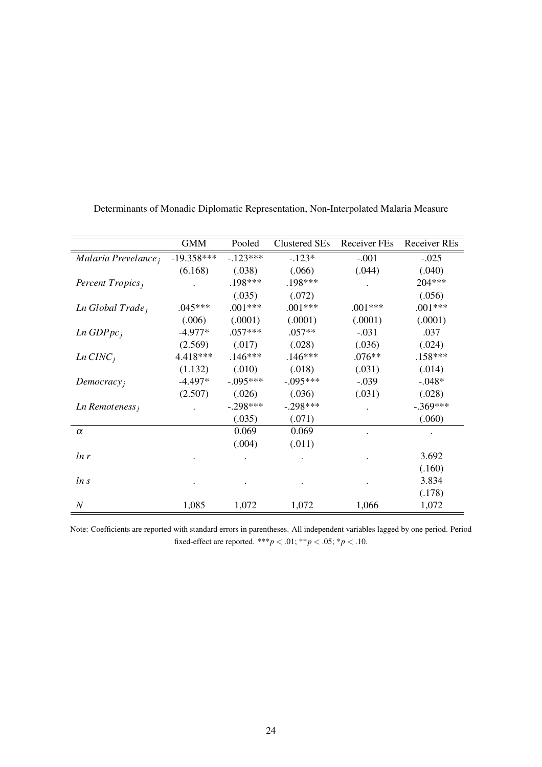|                              | <b>GMM</b>   | Pooled     | Clustered SEs | Receiver FEs | <b>Receiver REs</b> |
|------------------------------|--------------|------------|---------------|--------------|---------------------|
| Malaria Prevelance,          | $-19.358***$ | $-123***$  | $-.123*$      | $-.001$      | $-.025$             |
|                              | (6.168)      | (.038)     | (.066)        | (.044)       | (.040)              |
| Percent $Tropicsi$           |              | .198***    | .198***       |              | 204***              |
|                              |              | (.035)     | (.072)        |              | (.056)              |
| Ln Global Trade <sub>j</sub> | $.045***$    | $.001***$  | $.001***$     | $.001***$    | $.001***$           |
|                              | (.006)       | (.0001)    | (.0001)       | (.0001)      | (.0001)             |
| $Ln$ GDP $pc_i$              | $-4.977*$    | $.057***$  | $.057**$      | $-.031$      | .037                |
|                              | (2.569)      | (.017)     | (.028)        | (.036)       | (.024)              |
| $Ln$ $CINCi$                 | 4.418***     | $.146***$  | $.146***$     | $.076**$     | $.158***$           |
|                              | (1.132)      | (.010)     | (.018)        | (.031)       | (.014)              |
| Democracy <sub>i</sub>       | $-4.497*$    | $-.095***$ | $-.095***$    | $-.039$      | $-.048*$            |
|                              | (2.507)      | (.026)     | (.036)        | (.031)       | (.028)              |
| $Ln$ Remoteness <sub>i</sub> |              | $-.298***$ | $-.298***$    |              | $-.369***$          |
|                              |              | (.035)     | (.071)        |              | (.060)              |
| $\alpha$                     |              | 0.069      | 0.069         |              |                     |
|                              |              | (.004)     | (.011)        |              |                     |
| ln r                         |              |            |               |              | 3.692               |
|                              |              |            |               |              | (.160)              |
| ln s                         |              |            |               |              | 3.834               |
|                              |              |            |               |              | (.178)              |
| $\boldsymbol{N}$             | 1,085        | 1,072      | 1,072         | 1,066        | 1,072               |

Determinants of Monadic Diplomatic Representation, Non-Interpolated Malaria Measure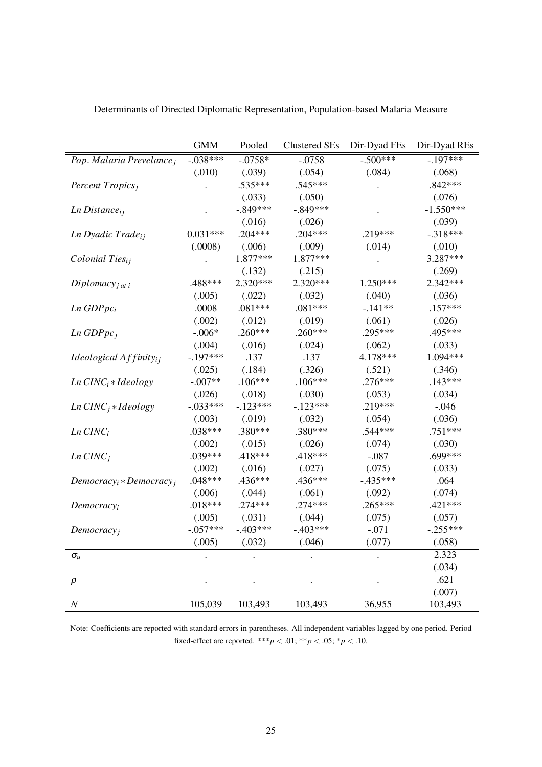|                                   | <b>GMM</b>  | Pooled     | <b>Clustered SEs</b>    | Dir-Dyad FEs | Dir-Dyad REs |
|-----------------------------------|-------------|------------|-------------------------|--------------|--------------|
| Pop. Malaria Prevelance;          | $-0.038***$ | $-.0758*$  | $-0.500***$<br>$-.0758$ |              | $-197***$    |
|                                   | (.010)      | (.039)     | (.054)                  | (.084)       | (.068)       |
| Percent Tropics;                  |             | .535***    | .545***                 |              | $.842***$    |
|                                   |             | (.033)     | (.050)                  |              | (.076)       |
| $Ln\ Distance_{ij}$               |             | $-.849***$ | $-.849***$              |              | $-1.550***$  |
|                                   |             | (.016)     | (.026)                  |              | (.039)       |
| Ln Dyadic Trade <sub>ij</sub>     | $0.031***$  | $.204***$  | $.204***$               | .219***      | $-.318***$   |
|                                   | (.0008)     | (.006)     | (.009)                  | (.014)       | (.010)       |
| Colonial Ties <sub>ij</sub>       |             | 1.877***   | 1.877***                |              | 3.287***     |
|                                   |             | (.132)     | (.215)                  |              | (.269)       |
| Diplomacy <sub>j at i</sub>       | .488***     | 2.320***   | 2.320***                | 1.250***     | 2.342***     |
|                                   | (.005)      | (.022)     | (.032)                  | (.040)       | (.036)       |
| $Ln$ GDP $pc_i$                   | .0008       | $.081***$  | $.081***$               | $-.141**$    | $.157***$    |
|                                   | (.002)      | (.012)     | (.019)                  | (.061)       | (.026)       |
| $Ln$ GDP $pc_i$                   | $-.006*$    | $.260***$  | $.260***$               | .295***      | .495***      |
|                                   | (.004)      | (.016)     | (.024)                  | (.062)       | (.033)       |
| Ideological $Affinity_{ii}$       | $-.197***$  | .137       | .137                    | 4.178***     | 1.094***     |
|                                   | (.025)      | (.184)     | (.326)                  | (.521)       | (.346)       |
| $Ln$ $CINCi * Ideology$           | $-.007**$   | $.106***$  | $.106***$               | $.276***$    | $.143***$    |
|                                   | (.026)      | (.018)     | (.030)                  | (.053)       | (.034)       |
| $Ln$ CINC <sub>i</sub> * Ideology | $-.033***$  | $-123***$  | $-123***$               | .219***      | $-.046$      |
|                                   | (.003)      | (.019)     | (.032)                  | (.054)       | (.036)       |
| $Ln$ $CINCi$                      | $.038***$   | .380***    | .380***                 | .544 ***     | $.751***$    |
|                                   | (.002)      | (.015)     | (.026)                  | (.074)       | (.030)       |
| $Ln$ $CINCj$                      | .039***     | .418***    | $.418***$               | $-.087$      | .699***      |
|                                   | (.002)      | (.016)     | (.027)                  | (.075)       | (.033)       |
| $Democracy_i * Democracy_i$       | $.048***$   | .436***    | .436***                 | $-.435***$   | .064         |
|                                   | (.006)      | (.044)     | (.061)                  | (.092)       | (.074)       |
| Democracy <sub>i</sub>            | $.018***$   | $.274***$  | $.274***$               | $.265***$    | $.421***$    |
|                                   | (.005)      | (.031)     | (.044)                  | (.075)       | (.057)       |
| Democracy <sub>j</sub>            | $-.057***$  | $-.403***$ | $-.403***$              | $-.071$      | $-.255***$   |
|                                   | (.005)      | (.032)     | (.046)                  | (.077)       | (.058)       |
| $\sigma_u$                        |             |            |                         |              | 2.323        |
|                                   |             |            |                         |              | (.034)       |
| $\rho$                            |             |            |                         |              | .621         |
|                                   |             |            |                         |              | (.007)       |
| $\boldsymbol{N}$                  | 105,039     | 103,493    | 103,493                 | 36,955       | 103,493      |

Determinants of Directed Diplomatic Representation, Population-based Malaria Measure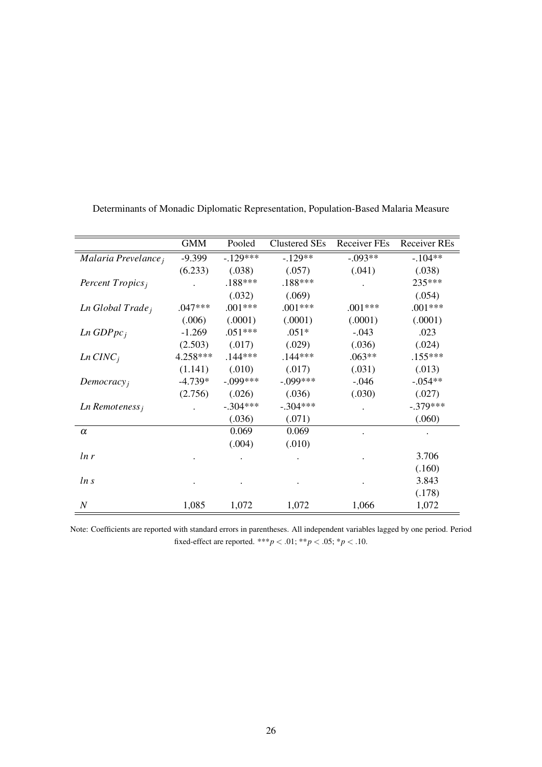|                              | <b>GMM</b> | Pooled     | <b>Clustered SEs</b> | <b>Receiver FEs</b> | <b>Receiver REs</b> |
|------------------------------|------------|------------|----------------------|---------------------|---------------------|
| Malaria Prevelance;          | $-9.399$   | $-.129***$ | $-129**$             | $-.093**$           | $-.104**$           |
|                              | (6.233)    | (.038)     | (.057)               | (.041)              | (.038)              |
| Percent Tropics;             |            | .188***    | $.188***$            |                     | 235***              |
|                              |            | (.032)     | (.069)               |                     | (.054)              |
| Ln Global Trade <sub>j</sub> | $.047***$  | $.001***$  | $.001***$            | $.001***$           | $.001***$           |
|                              | (.006)     | (.0001)    | (.0001)              | (.0001)             | (.0001)             |
| $Ln$ GDP $pc_i$              | $-1.269$   | $.051***$  | $.051*$              | $-.043$             | .023                |
|                              | (2.503)    | (.017)     | (.029)               | (.036)              | (.024)              |
| $Ln$ $CINCi$                 | 4.258***   | $.144***$  | $.144***$            | $.063**$            | $.155***$           |
|                              | (1.141)    | (.010)     | (.017)               | (.031)              | (.013)              |
| Democracy <sub>i</sub>       | $-4.739*$  | $-.099***$ | $-.099***$           | $-0.046$            | $-.054**$           |
|                              | (2.756)    | (.026)     | (.036)               | (.030)              | (.027)              |
| Ln Remoteness <sub>i</sub>   |            | $-.304***$ | $-.304***$           |                     | $-.379***$          |
|                              |            | (.036)     | (.071)               |                     | (.060)              |
| $\alpha$                     |            | 0.069      | 0.069                |                     |                     |
|                              |            | (.004)     | (.010)               |                     |                     |
| ln r                         |            |            |                      |                     | 3.706               |
|                              |            |            |                      |                     | (.160)              |
| ln s                         |            |            |                      |                     | 3.843               |
|                              |            |            |                      |                     | (.178)              |
| $\boldsymbol{N}$             | 1,085      | 1,072      | 1,072                | 1,066               | 1,072               |

Determinants of Monadic Diplomatic Representation, Population-Based Malaria Measure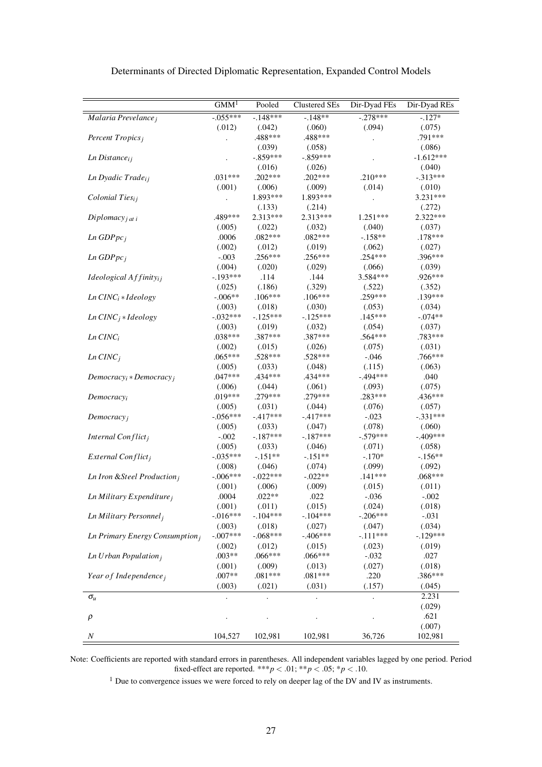|                                         | GMM <sup>T</sup>     | Pooled            | <b>Clustered SEs</b> | Dir-Dyad FEs         | Dir-Dyad REs         |
|-----------------------------------------|----------------------|-------------------|----------------------|----------------------|----------------------|
| Malaria Prevelance;                     | $-0.055***$          | $-148***$         | $-148**$             | $-0.278***$          | $-127*$              |
|                                         | (.012)               | (.042)            | (.060)               | (.094)               | (.075)               |
| Percent Tropics <sub>j</sub>            |                      | .488***           | .488***              |                      | .791 ***             |
|                                         |                      | (.039)            | (.058)               |                      | (.086)               |
| $Ln\ Distance_{ij}$                     |                      | $-.859***$        | $-.859***$           |                      | $-1.612***$          |
|                                         |                      | (.016)            | (.026)               |                      | (.040)               |
| Ln Dyadic Trade <sub>ij</sub>           | .031***              | .202***           | $.202***$            | $.210***$            | $-.313***$           |
|                                         | (.001)               | (.006)            | (.009)               | (.014)               | (.010)               |
| Colonial Ties <sub>ij</sub>             | $\blacksquare$       | 1.893***          | 1.893***             |                      | 3.231***             |
|                                         |                      | (.133)            | (.214)               |                      | (.272)               |
| Diplomacy $_{i}$ at i                   | .489***              | 2.313***          | 2.313***             | $1.251***$           | 2.322***             |
|                                         | (.005)               | (.022)            | (.032)               | (.040)               | (.037)               |
| Ln GDPpc <sub>j</sub>                   | .0006                | $.082***$         | $.082***$            | $-.158**$            | .178***              |
|                                         | (.002)               | (.012)            | (.019)               | (.062)               | (.027)               |
| $Ln$ GDP $pci$                          | $-.003$              | $.256***$         | .256***              | $.254***$            | $.396***$            |
|                                         | (.004)               | (.020)            | (.029)               | (.066)               | (.039)               |
| <i>Ideological</i> $Affinity_{ij}$      | $-.193***$           | .114              | .144                 | 3.584***             | .926***              |
|                                         | (.025)               | (.186)            | (.329)               | (.522)               | (.352)               |
| Ln CINC <sub>i</sub> * Ideology         | $-.006**$            | $.106***$         | $.106***$            | .259***              | .139***              |
|                                         | (.003)               | (.018)            | (.030)               | (.053)               | (.034)               |
| $Ln$ CINC <sub>i</sub> * Ideology       | $-.032***$           | $-125***$         | $-.125***$           | $.145***$            | $-.074**$            |
|                                         | (.003)               | (.019)            | (.032)               | (.054)               | (.037)               |
| $Ln$ $CINCi$                            | .038***              | .387***           | .387***              | .564***              | .783***              |
|                                         | (.002)               | (.015)            | (.026)               | (.075)               | (.031)               |
| $Ln$ $CINCj$                            | $.065***$            | .528***           | .528***              | $-.046$              | .766***              |
|                                         | (.005)               | (.033)            | (.048)               | (.115)               | (.063)               |
| $Democracyi * Democracyj$               | $.047***$            | .434***           | .434***              | $-.494***$           | .040                 |
|                                         | (.006)<br>.019***    | (.044)<br>.279*** | (.061)<br>.279***    | (.093)<br>.283***    | (.075)<br>.436***    |
| Democracyi                              | (.005)               | (.031)            | (.044)               | (.076)               |                      |
|                                         | $-0.056***$          | $-.417***$        | $-.417***$           | $-.023$              | (.057)<br>$-.331***$ |
| Democracy <sub>i</sub>                  | (.005)               | (.033)            | (.047)               | (.078)               | (.060)               |
| Internal Conflict <sub>i</sub>          | $-.002$              | $-.187***$        | $-.187***$           | $-.579***$           | $-.409***$           |
|                                         | (.005)               | (.033)            | (.046)               | (.071)               | (.058)               |
| External Conflict <sub>i</sub>          | $-.035***$           | $-.151**$         | $-.151**$            | $-.170*$             | $-.156**$            |
|                                         | (.008)               | (.046)            | (.074)               | (.099)               | (.092)               |
| Ln Iron & Steel Production <sub>i</sub> | $-.006***$           | $-.022***$        | $-.022**$            | $.141***$            | .068***              |
|                                         | (.001)               | (.006)            | (.009)               | (.015)               | (.011)               |
| $Ln$ Military Expenditure <sub>j</sub>  | .0004                | $.022**$          | .022                 | $-.036$              | $-.002$              |
|                                         | (.001)               | (.011)            | (.015)               | (.024)               | (.018)               |
| Ln Military Personnel <sub>i</sub>      | $-.016***$           | $-104***$         | $-104***$            | $-.206***$           | $-.031$              |
|                                         | (.003)               | (.018)            | (.027)               | (.047)               | (.034)               |
| Ln Primary Energy Consumption $_i$      | $-.007***$           | $-.068***$        | $-.406***$           | $-.111***$           | $-.129***$           |
|                                         | (.002)               | (.012)            | (.015)               | (.023)               | (.019)               |
| $Ln U$ rban Population <sub>i</sub>     | $.003**$             | .066***           | .066***              | $-.032$              | .027                 |
|                                         | (.001)               | (.009)            | (.013)               | (.027)               | (.018)               |
| Year of Independence;                   | .007**               | $.081***$         | $.081***$            | .220                 | .386***              |
|                                         | (.003)               | (.021)            | (.031)               | (.157)               | (.045)               |
| $\sigma_u$                              | $\ddot{\phantom{a}}$ |                   | $\ddot{\phantom{0}}$ | $\ddot{\phantom{0}}$ | 2.231                |
|                                         |                      |                   |                      |                      | (.029)               |
| $\rho$                                  |                      |                   |                      |                      | .621                 |
|                                         |                      |                   |                      |                      | (.007)               |
| N                                       | 104,527              | 102,981           | 102,981              | 36,726               | 102,981              |

Determinants of Directed Diplomatic Representation, Expanded Control Models

 $1$  Due to convergence issues we were forced to rely on deeper lag of the DV and IV as instruments.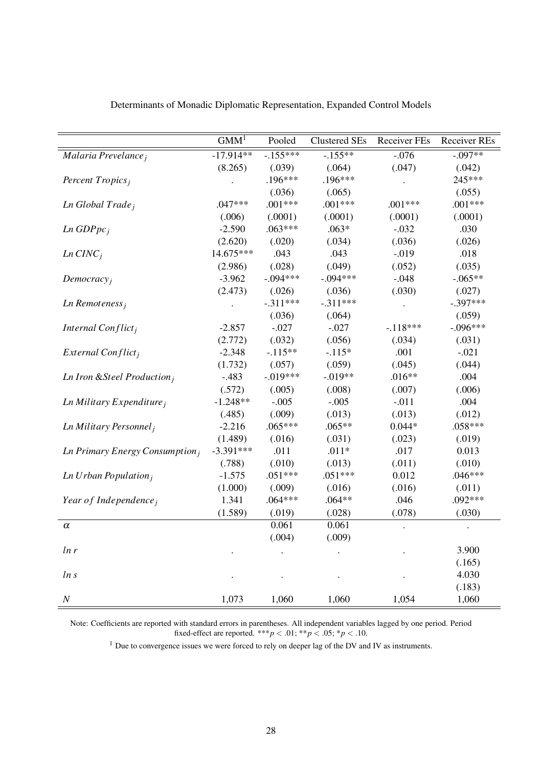|                                            | GMM <sup>1</sup> | Pooled     | <b>Clustered SEs</b> | <b>Receiver FEs</b> | Receiver REs |
|--------------------------------------------|------------------|------------|----------------------|---------------------|--------------|
| Malaria Prevelance;                        | $-17.914**$      | $-155***$  | $-155***$            | $-.076$             | $-0.097**$   |
|                                            | (8.265)          | (.039)     | (.064)               | (.047)              | (.042)       |
| Percent Tropics <sub>i</sub>               |                  | $.196***$  | $.196***$            |                     | 245***       |
|                                            |                  | (.036)     | (.065)               |                     | (.055)       |
| Ln Global Trade <sub>j</sub>               | $.047***$        | $.001***$  | $.001***$            | $.001***$           | $.001***$    |
|                                            | (.006)           | (.0001)    | (.0001)              | (.0001)             | (.0001)      |
| $Ln$ GDP $pc_i$                            | $-2.590$         | $.063***$  | $.063*$              | $-.032$             | .030         |
|                                            | (2.620)          | (.020)     | (.034)               | (.036)              | (.026)       |
| $Ln$ $CINCi$                               | 14.675***        | .043       | .043                 | $-0.019$            | .018         |
|                                            | (2.986)          | (.028)     | (.049)               | (.052)              | (.035)       |
| Democracy <sub>i</sub>                     | $-3.962$         | $-.094***$ | $-.094***$           | $-.048$             | $-.065**$    |
|                                            | (2.473)          | (.026)     | (.036)               | (.030)              | (.027)       |
| $Ln$ Remoteness <sub>i</sub>               |                  | $-.311***$ | $-.311***$           |                     | $-.397***$   |
|                                            |                  | (.036)     | (.064)               |                     | (.059)       |
| Internal Conflict <sub>i</sub>             | $-2.857$         | $-.027$    | $-.027$              | $-118***$           | $-.096***$   |
|                                            | (2.772)          | (.032)     | (.056)               | (.034)              | (.031)       |
| External Conflict <sub>i</sub>             | $-2.348$         | $-.115**$  | $-.115*$             | .001                | $-.021$      |
|                                            | (1.732)          | (.057)     | (.059)               | (.045)              | (.044)       |
| Ln Iron & Steel Production <sub>i</sub>    | $-.483$          | $-.019***$ | $-.019**$            | $.016**$            | .004         |
|                                            | (.572)           | (.005)     | (.008)               | (.007)              | (.006)       |
| $Ln$ Military Expenditure;                 | $-1.248**$       | $-.005$    | $-.005$              | $-.011$             | .004         |
|                                            | (.485)           | (.009)     | (.013)               | (.013)              | (.012)       |
| Ln Military Personnel <sub>i</sub>         | $-2.216$         | $.065***$  | $.065**$             | $0.044*$            | $.058***$    |
|                                            | (1.489)          | (.016)     | (.031)               | (.023)              | (.019)       |
| Ln Primary Energy Consumption <sub>i</sub> | $-3.391***$      | .011       | $.011*$              | .017                | 0.013        |
|                                            | (.788)           | (.010)     | (.013)               | (.011)              | (.010)       |
| Ln Urban Population $_i$                   | $-1.575$         | $.051***$  | $.051***$            | 0.012               | $.046***$    |
|                                            | (1.000)          | (.009)     | (.016)               | (.016)              | (.011)       |
| Year of Independence;                      | 1.341            | $.064***$  | $.064**$             | .046                | $.092***$    |
|                                            | (1.589)          | (.019)     | (.028)               | (.078)              | (.030)       |
| $\alpha$                                   |                  | 0.061      | 0.061                |                     |              |
|                                            |                  | (.004)     | (.009)               |                     |              |
| ln r                                       |                  |            |                      |                     | 3.900        |
|                                            |                  |            |                      |                     | (.165)       |
| ln s                                       |                  |            |                      |                     | 4.030        |
|                                            |                  |            |                      |                     | (.183)       |
| $\cal N$                                   | 1,073            | 1,060      | 1,060                | 1,054               | 1,060        |

Determinants of Monadic Diplomatic Representation, Expanded Control Models

<sup>1</sup> Due to convergence issues we were forced to rely on deeper lag of the DV and IV as instruments.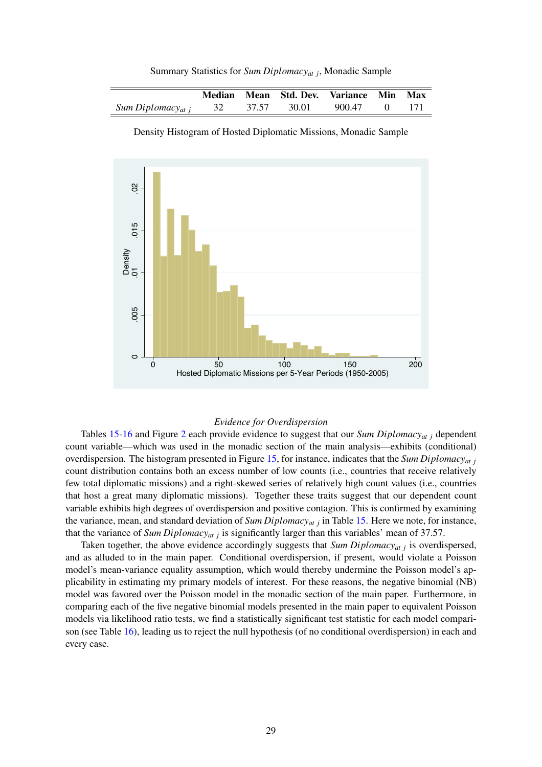|                                  |       | Median Mean Std. Dev. Variance Min Max |        |  |
|----------------------------------|-------|----------------------------------------|--------|--|
| Sum Diplomacy <sub>at i</sub> 32 | 37.57 | 30.01                                  | 900.47 |  |

Summary Statistics for *Sum Diplomacyat j*, Monadic Sample



Density Histogram of Hosted Diplomatic Missions, Monadic Sample

#### *Evidence for Overdispersion*

Tables 15-16 and Figure 2 each provide evidence to suggest that our *Sum Diplomacyat j* dependent count variable—which was used in the monadic section of the main analysis—exhibits (conditional) overdispersion. The histogram presented in Figure 15, for instance, indicates that the *Sum Diplomacyat j* count distribution contains both an excess number of low counts (i.e., countries that receive relatively few total diplomatic missions) and a right-skewed series of relatively high count values (i.e., countries that host a great many diplomatic missions). Together these traits suggest that our dependent count variable exhibits high degrees of overdispersion and positive contagion. This is confirmed by examining the variance, mean, and standard deviation of *Sum Diplomacyat j* in Table 15. Here we note, for instance, that the variance of *Sum Diplomacyat j* is significantly larger than this variables' mean of 37.57.

Taken together, the above evidence accordingly suggests that *Sum Diplomacyat j* is overdispersed, and as alluded to in the main paper. Conditional overdispersion, if present, would violate a Poisson model's mean-variance equality assumption, which would thereby undermine the Poisson model's applicability in estimating my primary models of interest. For these reasons, the negative binomial (NB) model was favored over the Poisson model in the monadic section of the main paper. Furthermore, in comparing each of the five negative binomial models presented in the main paper to equivalent Poisson models via likelihood ratio tests, we find a statistically significant test statistic for each model comparison (see Table 16), leading us to reject the null hypothesis (of no conditional overdispersion) in each and every case.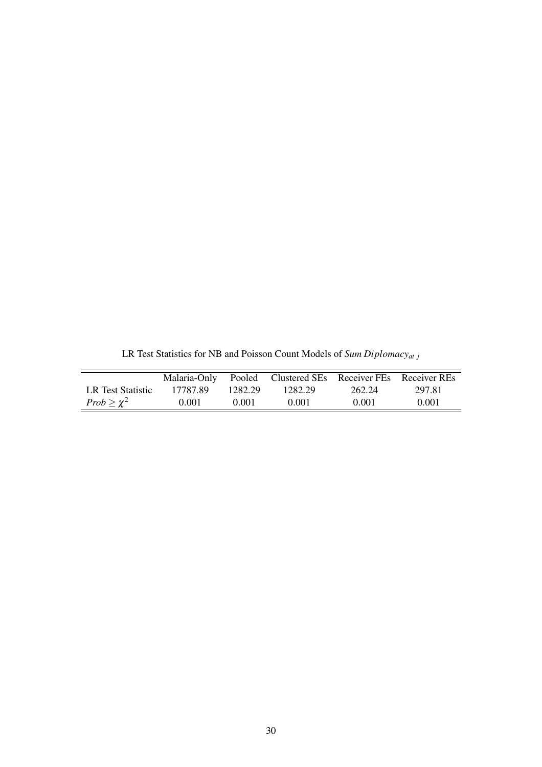|                    | Malaria-Only |         | • Pooled Clustered SEs Receiver FEs Receiver REs |        |        |
|--------------------|--------------|---------|--------------------------------------------------|--------|--------|
| LR Test Statistic  | 17787.89     | 1282.29 | 1282.29                                          | 262.24 | 297.81 |
| $Prob \geq \chi^2$ | 0.001        | 0.001   | 0.001                                            | 0.001  | 0.001  |

LR Test Statistics for NB and Poisson Count Models of *Sum Diplomacyat j*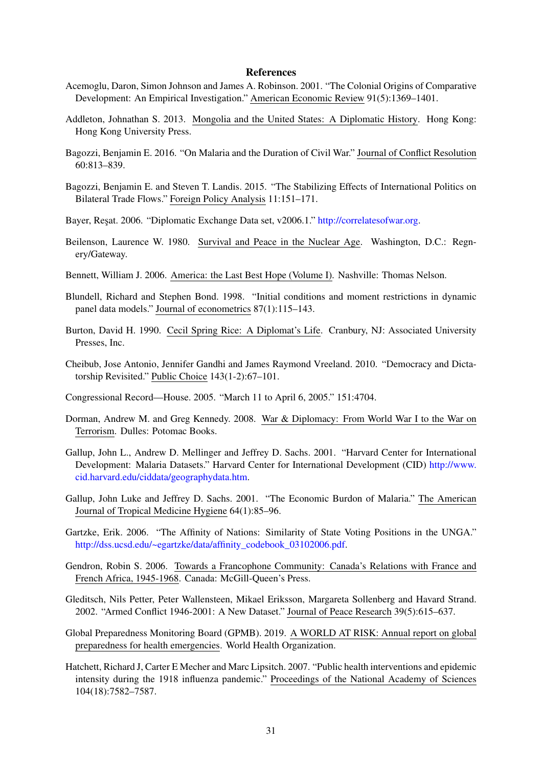#### **References**

- Acemoglu, Daron, Simon Johnson and James A. Robinson. 2001. "The Colonial Origins of Comparative Development: An Empirical Investigation." American Economic Review 91(5):1369–1401.
- Addleton, Johnathan S. 2013. Mongolia and the United States: A Diplomatic History. Hong Kong: Hong Kong University Press.
- Bagozzi, Benjamin E. 2016. "On Malaria and the Duration of Civil War." Journal of Conflict Resolution 60:813–839.
- Bagozzi, Benjamin E. and Steven T. Landis. 2015. "The Stabilizing Effects of International Politics on Bilateral Trade Flows." Foreign Policy Analysis 11:151–171.
- Bayer, Resat. 2006. "Diplomatic Exchange Data set, v2006.1." http://correlatesofwar.org.
- Beilenson, Laurence W. 1980. Survival and Peace in the Nuclear Age. Washington, D.C.: Regnery/Gateway.
- Bennett, William J. 2006. America: the Last Best Hope (Volume I). Nashville: Thomas Nelson.
- Blundell, Richard and Stephen Bond. 1998. "Initial conditions and moment restrictions in dynamic panel data models." Journal of econometrics 87(1):115–143.
- Burton, David H. 1990. Cecil Spring Rice: A Diplomat's Life. Cranbury, NJ: Associated University Presses, Inc.
- Cheibub, Jose Antonio, Jennifer Gandhi and James Raymond Vreeland. 2010. "Democracy and Dictatorship Revisited." Public Choice 143(1-2):67–101.
- Congressional Record—House. 2005. "March 11 to April 6, 2005." 151:4704.
- Dorman, Andrew M. and Greg Kennedy. 2008. War & Diplomacy: From World War I to the War on Terrorism. Dulles: Potomac Books.
- Gallup, John L., Andrew D. Mellinger and Jeffrey D. Sachs. 2001. "Harvard Center for International Development: Malaria Datasets." Harvard Center for International Development (CID) http://www. cid.harvard.edu/ciddata/geographydata.htm.
- Gallup, John Luke and Jeffrey D. Sachs. 2001. "The Economic Burdon of Malaria." The American Journal of Tropical Medicine Hygiene 64(1):85–96.
- Gartzke, Erik. 2006. "The Affinity of Nations: Similarity of State Voting Positions in the UNGA." http://dss.ucsd.edu/~egartzke/data/affinity\_codebook\_03102006.pdf.
- Gendron, Robin S. 2006. Towards a Francophone Community: Canada's Relations with France and French Africa, 1945-1968. Canada: McGill-Queen's Press.
- Gleditsch, Nils Petter, Peter Wallensteen, Mikael Eriksson, Margareta Sollenberg and Havard Strand. 2002. "Armed Conflict 1946-2001: A New Dataset." Journal of Peace Research 39(5):615–637.
- Global Preparedness Monitoring Board (GPMB). 2019. A WORLD AT RISK: Annual report on global preparedness for health emergencies. World Health Organization.
- Hatchett, Richard J, Carter E Mecher and Marc Lipsitch. 2007. "Public health interventions and epidemic intensity during the 1918 influenza pandemic." Proceedings of the National Academy of Sciences 104(18):7582–7587.